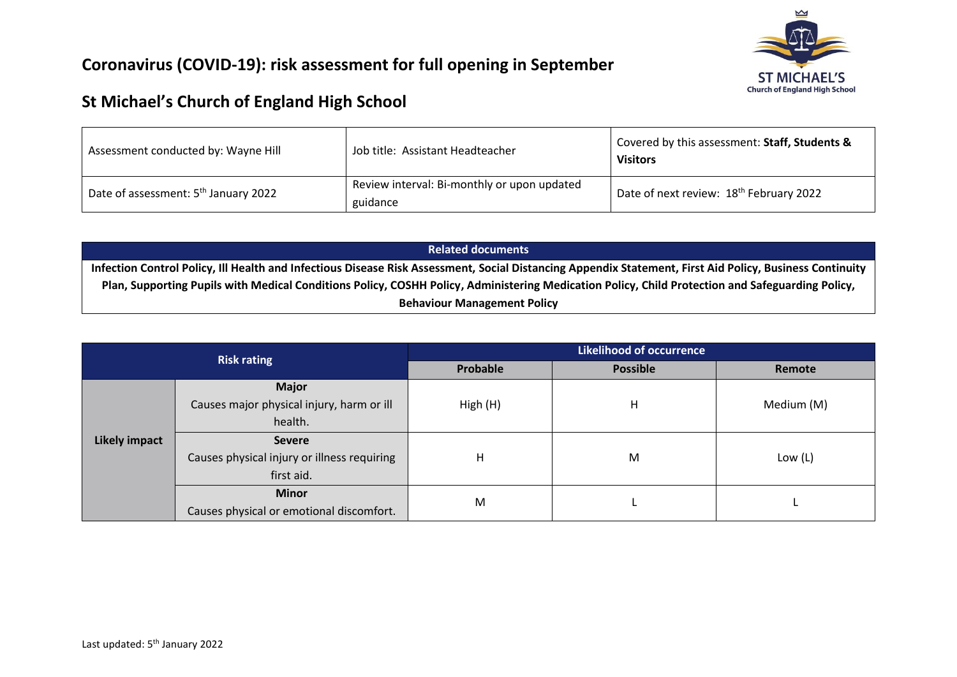

## **Coronavirus (COVID-19): risk assessment for full opening in September**

## **St Michael's Church of England High School**

| Assessment conducted by: Wayne Hill              | Job title: Assistant Headteacher                        | Covered by this assessment: Staff, Students &<br><b>Visitors</b> |  |  |
|--------------------------------------------------|---------------------------------------------------------|------------------------------------------------------------------|--|--|
| Date of assessment: 5 <sup>th</sup> January 2022 | Review interval: Bi-monthly or upon updated<br>guidance | Date of next review: 18 <sup>th</sup> February 2022              |  |  |

| <b>Related documents</b>                                                                                                                                 |
|----------------------------------------------------------------------------------------------------------------------------------------------------------|
| Infection Control Policy, Ill Health and Infectious Disease Risk Assessment, Social Distancing Appendix Statement, First Aid Policy, Business Continuity |
| Plan, Supporting Pupils with Medical Conditions Policy, COSHH Policy, Administering Medication Policy, Child Protection and Safeguarding Policy,         |
| <b>Behaviour Management Policy</b>                                                                                                                       |

| <b>Risk rating</b>   |                                             | <b>Likelihood of occurrence</b> |                 |            |  |  |
|----------------------|---------------------------------------------|---------------------------------|-----------------|------------|--|--|
|                      |                                             | Probable                        | <b>Possible</b> | Remote     |  |  |
|                      | <b>Major</b>                                |                                 |                 |            |  |  |
|                      | Causes major physical injury, harm or ill   | High (H)                        | H               | Medium (M) |  |  |
| <b>Likely impact</b> | health.                                     |                                 |                 |            |  |  |
|                      | <b>Severe</b>                               |                                 |                 |            |  |  |
|                      | Causes physical injury or illness requiring | н                               | M               | Low $(L)$  |  |  |
|                      | first aid.                                  |                                 |                 |            |  |  |
|                      | <b>Minor</b>                                | M                               |                 |            |  |  |
|                      | Causes physical or emotional discomfort.    |                                 |                 |            |  |  |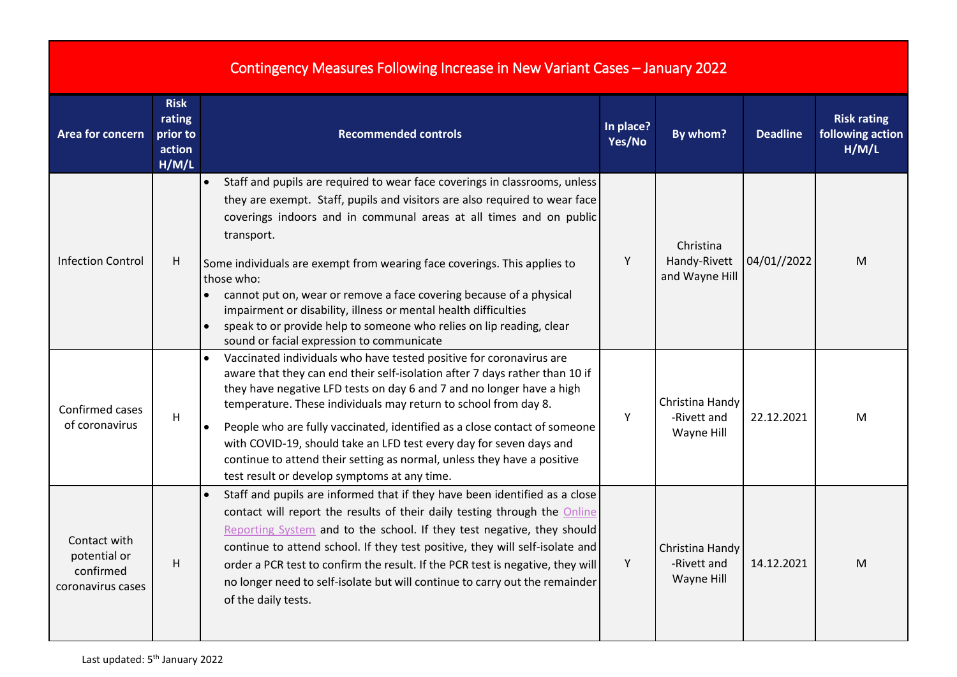| Contingency Measures Following Increase in New Variant Cases - January 2022 |  |  |  |
|-----------------------------------------------------------------------------|--|--|--|
|                                                                             |  |  |  |

| Area for concern                                               | <b>Risk</b><br>rating<br>prior to<br>action<br>H/M/L | <b>Recommended controls</b>                                                                                                                                                                                                                                                                                                                                                                                                                                                                                                                                                                           | In place?<br>Yes/No | By whom?                                     | <b>Deadline</b> | <b>Risk rating</b><br>following action<br>H/M/L |
|----------------------------------------------------------------|------------------------------------------------------|-------------------------------------------------------------------------------------------------------------------------------------------------------------------------------------------------------------------------------------------------------------------------------------------------------------------------------------------------------------------------------------------------------------------------------------------------------------------------------------------------------------------------------------------------------------------------------------------------------|---------------------|----------------------------------------------|-----------------|-------------------------------------------------|
| <b>Infection Control</b>                                       | H                                                    | Staff and pupils are required to wear face coverings in classrooms, unless<br>they are exempt. Staff, pupils and visitors are also required to wear face<br>coverings indoors and in communal areas at all times and on public<br>transport.<br>Some individuals are exempt from wearing face coverings. This applies to<br>those who:<br>cannot put on, wear or remove a face covering because of a physical<br>impairment or disability, illness or mental health difficulties<br>speak to or provide help to someone who relies on lip reading, clear<br>sound or facial expression to communicate | Y                   | Christina<br>Handy-Rivett<br>and Wayne Hill  | 04/01//2022     | M                                               |
| Confirmed cases<br>of coronavirus                              | H                                                    | Vaccinated individuals who have tested positive for coronavirus are<br>aware that they can end their self-isolation after 7 days rather than 10 if<br>they have negative LFD tests on day 6 and 7 and no longer have a high<br>temperature. These individuals may return to school from day 8.<br>People who are fully vaccinated, identified as a close contact of someone<br>$\bullet$<br>with COVID-19, should take an LFD test every day for seven days and<br>continue to attend their setting as normal, unless they have a positive<br>test result or develop symptoms at any time.            | Y                   | Christina Handy<br>-Rivett and<br>Wayne Hill | 22.12.2021      | M                                               |
| Contact with<br>potential or<br>confirmed<br>coronavirus cases | H.                                                   | Staff and pupils are informed that if they have been identified as a close<br>contact will report the results of their daily testing through the Online<br>Reporting System and to the school. If they test negative, they should<br>continue to attend school. If they test positive, they will self-isolate and<br>order a PCR test to confirm the result. If the PCR test is negative, they will<br>no longer need to self-isolate but will continue to carry out the remainder<br>of the daily tests.                                                                                             | Y                   | Christina Handy<br>-Rivett and<br>Wayne Hill | 14.12.2021      | M                                               |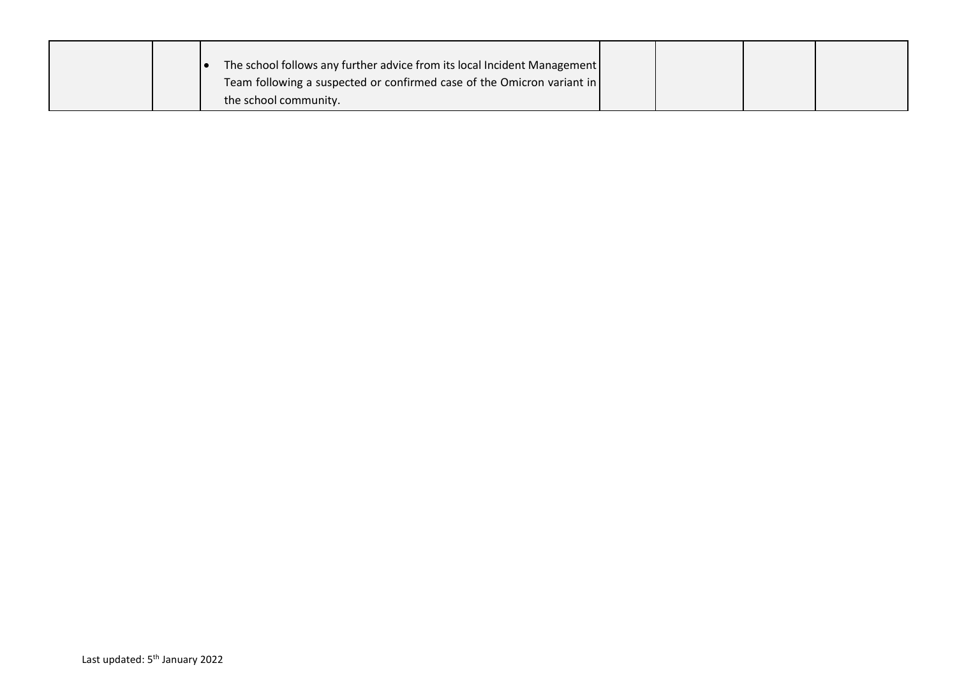|  | The school follows any further advice from its local Incident Management |  |  |
|--|--------------------------------------------------------------------------|--|--|
|  | Team following a suspected or confirmed case of the Omicron variant in   |  |  |
|  | the school community.                                                    |  |  |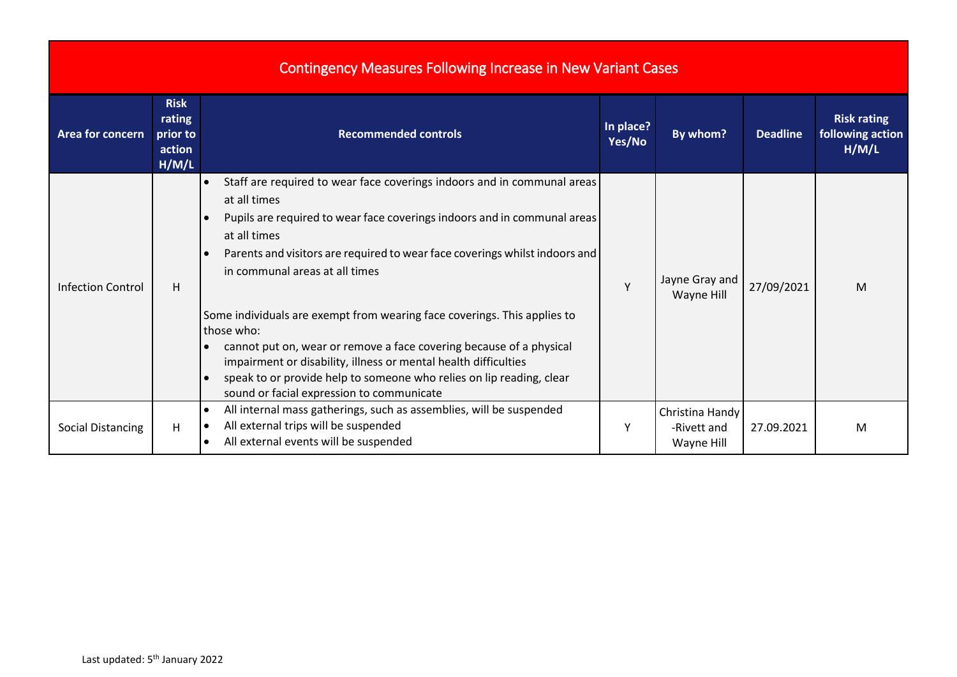|                          |                                                      | <b>Contingency Measures Following Increase in New Variant Cases</b>                                                                                                                                                                                                                                                                                                                                                                                                                                                                                                                                                                                           |                     |                                              |                 |                                                 |
|--------------------------|------------------------------------------------------|---------------------------------------------------------------------------------------------------------------------------------------------------------------------------------------------------------------------------------------------------------------------------------------------------------------------------------------------------------------------------------------------------------------------------------------------------------------------------------------------------------------------------------------------------------------------------------------------------------------------------------------------------------------|---------------------|----------------------------------------------|-----------------|-------------------------------------------------|
| <b>Area for concern</b>  | <b>Risk</b><br>rating<br>prior to<br>action<br>H/M/L | <b>Recommended controls</b>                                                                                                                                                                                                                                                                                                                                                                                                                                                                                                                                                                                                                                   | In place?<br>Yes/No | By whom?                                     | <b>Deadline</b> | <b>Risk rating</b><br>following action<br>H/M/L |
| <b>Infection Control</b> | н                                                    | Staff are required to wear face coverings indoors and in communal areas<br>at all times<br>Pupils are required to wear face coverings indoors and in communal areas<br>at all times<br>Parents and visitors are required to wear face coverings whilst indoors and<br>in communal areas at all times<br>Some individuals are exempt from wearing face coverings. This applies to<br>those who:<br>cannot put on, wear or remove a face covering because of a physical<br>impairment or disability, illness or mental health difficulties<br>speak to or provide help to someone who relies on lip reading, clear<br>sound or facial expression to communicate | Y                   | Jayne Gray and<br>Wayne Hill                 | 27/09/2021      | M                                               |
| <b>Social Distancing</b> | H                                                    | All internal mass gatherings, such as assemblies, will be suspended<br>All external trips will be suspended<br>All external events will be suspended                                                                                                                                                                                                                                                                                                                                                                                                                                                                                                          | Y                   | Christina Handy<br>-Rivett and<br>Wayne Hill | 27.09.2021      | M                                               |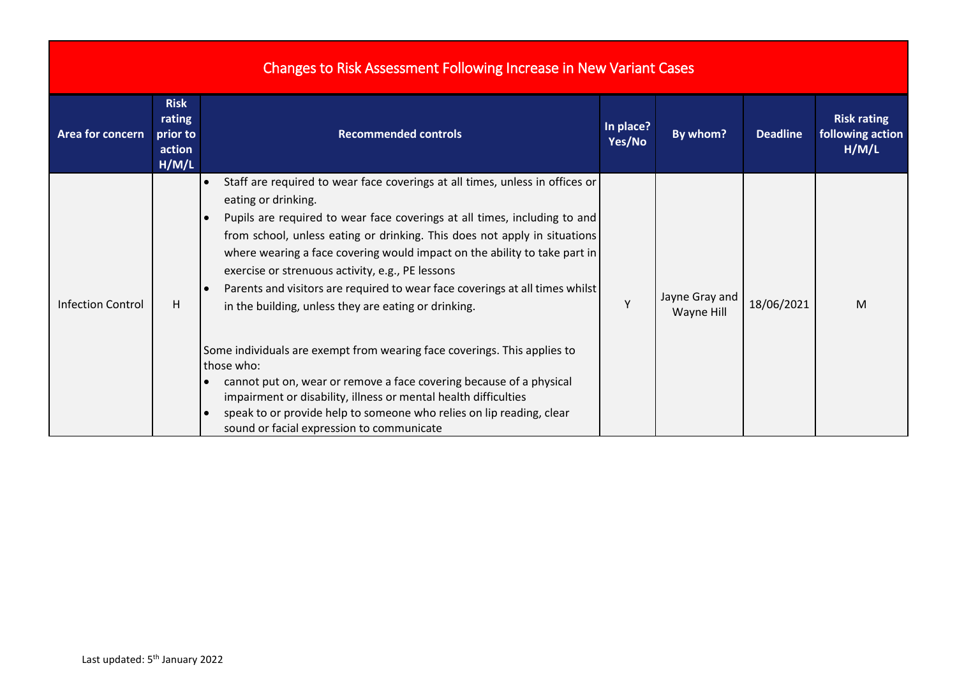| Changes to Risk Assessment Following Increase in New Variant Cases |  |
|--------------------------------------------------------------------|--|
|                                                                    |  |

| <b>Area for concern</b>  | <b>Risk</b><br>rating<br>prior to<br>action<br>H/M/L | <b>Recommended controls</b>                                                                                                                                                                                                                                                                                                                                                                                                                                                                                                                                                                                                                                                                                                                                                                                                                                                                                  | In place?<br>Yes/No | By whom?                     | <b>Deadline</b> | <b>Risk rating</b><br>following action<br>H/M/L |
|--------------------------|------------------------------------------------------|--------------------------------------------------------------------------------------------------------------------------------------------------------------------------------------------------------------------------------------------------------------------------------------------------------------------------------------------------------------------------------------------------------------------------------------------------------------------------------------------------------------------------------------------------------------------------------------------------------------------------------------------------------------------------------------------------------------------------------------------------------------------------------------------------------------------------------------------------------------------------------------------------------------|---------------------|------------------------------|-----------------|-------------------------------------------------|
| <b>Infection Control</b> | H                                                    | Staff are required to wear face coverings at all times, unless in offices or<br>eating or drinking.<br>Pupils are required to wear face coverings at all times, including to and<br>$\bullet$<br>from school, unless eating or drinking. This does not apply in situations<br>where wearing a face covering would impact on the ability to take part in<br>exercise or strenuous activity, e.g., PE lessons<br>Parents and visitors are required to wear face coverings at all times whilst<br>in the building, unless they are eating or drinking.<br>Some individuals are exempt from wearing face coverings. This applies to<br>those who:<br>cannot put on, wear or remove a face covering because of a physical<br>impairment or disability, illness or mental health difficulties<br>speak to or provide help to someone who relies on lip reading, clear<br>sound or facial expression to communicate | Y                   | Jayne Gray and<br>Wayne Hill | 18/06/2021      | M                                               |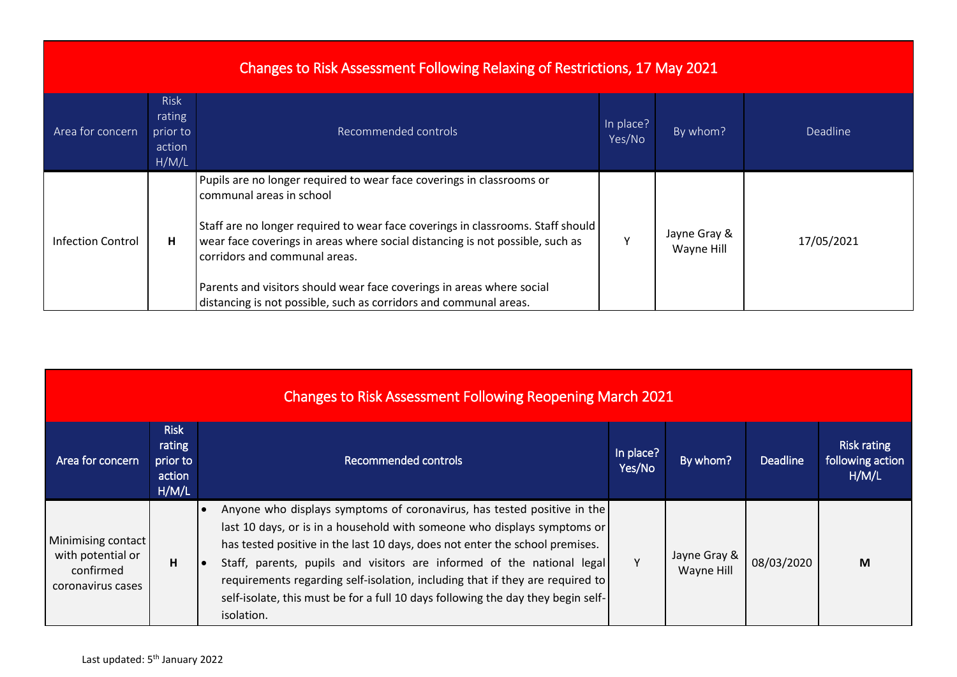| Changes to Risk Assessment Following Relaxing of Restrictions, 17 May 2021 |                                                      |                                                                                                                                                                                                                                                                                                                                                                                                                                                      |                     |                            |            |  |  |
|----------------------------------------------------------------------------|------------------------------------------------------|------------------------------------------------------------------------------------------------------------------------------------------------------------------------------------------------------------------------------------------------------------------------------------------------------------------------------------------------------------------------------------------------------------------------------------------------------|---------------------|----------------------------|------------|--|--|
| Area for concern                                                           | <b>Risk</b><br>rating<br>prior to<br>action<br>H/M/L | Recommended controls                                                                                                                                                                                                                                                                                                                                                                                                                                 | In place?<br>Yes/No | By whom?                   | Deadline   |  |  |
| <b>Infection Control</b>                                                   | н                                                    | Pupils are no longer required to wear face coverings in classrooms or<br>communal areas in school<br>Staff are no longer required to wear face coverings in classrooms. Staff should<br>wear face coverings in areas where social distancing is not possible, such as<br>corridors and communal areas.<br>Parents and visitors should wear face coverings in areas where social<br>distancing is not possible, such as corridors and communal areas. | $\mathsf{v}$        | Jayne Gray &<br>Wayne Hill | 17/05/2021 |  |  |

| <b>Changes to Risk Assessment Following Reopening March 2021</b>          |                                                      |                                                                                                                                                                                                                                                                                                                                                                                                                                                                                                  |                     |                            |                 |                                                 |  |
|---------------------------------------------------------------------------|------------------------------------------------------|--------------------------------------------------------------------------------------------------------------------------------------------------------------------------------------------------------------------------------------------------------------------------------------------------------------------------------------------------------------------------------------------------------------------------------------------------------------------------------------------------|---------------------|----------------------------|-----------------|-------------------------------------------------|--|
| Area for concern                                                          | <b>Risk</b><br>rating<br>prior to<br>action<br>H/M/L | <b>Recommended controls</b>                                                                                                                                                                                                                                                                                                                                                                                                                                                                      | In place?<br>Yes/No | By whom?                   | <b>Deadline</b> | <b>Risk rating</b><br>following action<br>H/M/L |  |
| Minimising contact<br>with potential or<br>confirmed<br>coronavirus cases | H.                                                   | Anyone who displays symptoms of coronavirus, has tested positive in the<br>last 10 days, or is in a household with someone who displays symptoms or<br>has tested positive in the last 10 days, does not enter the school premises.<br>Staff, parents, pupils and visitors are informed of the national legal<br>requirements regarding self-isolation, including that if they are required to<br>self-isolate, this must be for a full 10 days following the day they begin self-<br>isolation. |                     | Jayne Gray &<br>Wayne Hill | 08/03/2020      | M                                               |  |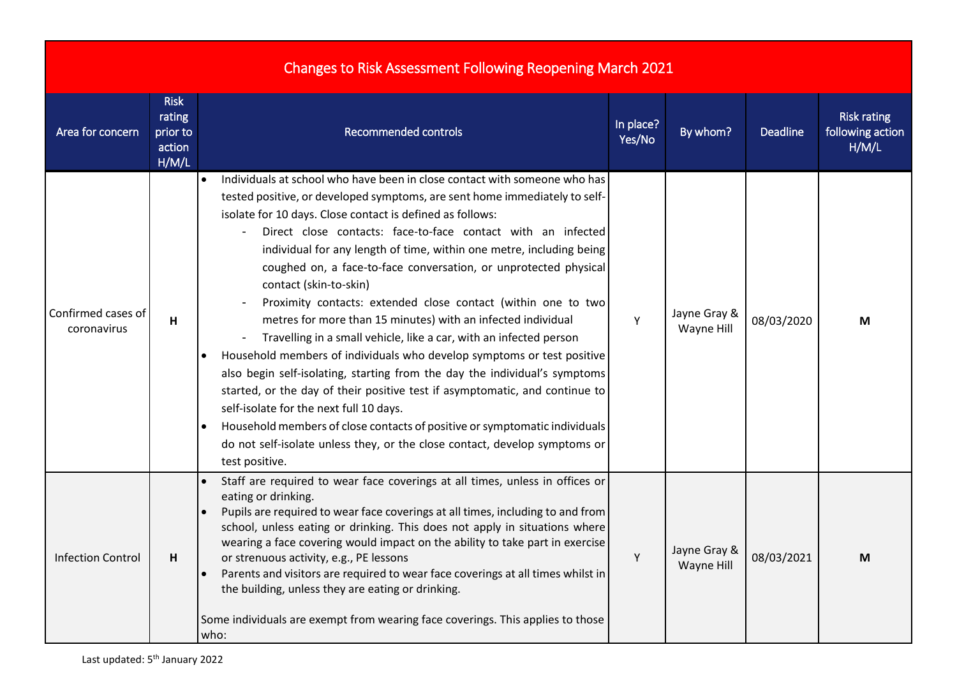| <b>Changes to Risk Assessment Following Reopening March 2021</b> |                                                      |                                                                                                                                                                                                                                                                                                                                                                                                                                                                                                                                                                                                                                                                                                                                                                                                                                                                                                                                                                                                                                                                                                                                                     |                     |                            |            |                                                 |  |
|------------------------------------------------------------------|------------------------------------------------------|-----------------------------------------------------------------------------------------------------------------------------------------------------------------------------------------------------------------------------------------------------------------------------------------------------------------------------------------------------------------------------------------------------------------------------------------------------------------------------------------------------------------------------------------------------------------------------------------------------------------------------------------------------------------------------------------------------------------------------------------------------------------------------------------------------------------------------------------------------------------------------------------------------------------------------------------------------------------------------------------------------------------------------------------------------------------------------------------------------------------------------------------------------|---------------------|----------------------------|------------|-------------------------------------------------|--|
| Area for concern                                                 | <b>Risk</b><br>rating<br>prior to<br>action<br>H/M/L | <b>Recommended controls</b>                                                                                                                                                                                                                                                                                                                                                                                                                                                                                                                                                                                                                                                                                                                                                                                                                                                                                                                                                                                                                                                                                                                         | In place?<br>Yes/No | By whom?                   | Deadline   | <b>Risk rating</b><br>following action<br>H/M/L |  |
| Confirmed cases of<br>coronavirus                                | H                                                    | Individuals at school who have been in close contact with someone who has<br>tested positive, or developed symptoms, are sent home immediately to self-<br>isolate for 10 days. Close contact is defined as follows:<br>Direct close contacts: face-to-face contact with an infected<br>individual for any length of time, within one metre, including being<br>coughed on, a face-to-face conversation, or unprotected physical<br>contact (skin-to-skin)<br>Proximity contacts: extended close contact (within one to two<br>metres for more than 15 minutes) with an infected individual<br>Travelling in a small vehicle, like a car, with an infected person<br>$\blacksquare$<br>Household members of individuals who develop symptoms or test positive<br>also begin self-isolating, starting from the day the individual's symptoms<br>started, or the day of their positive test if asymptomatic, and continue to<br>self-isolate for the next full 10 days.<br>Household members of close contacts of positive or symptomatic individuals<br>do not self-isolate unless they, or the close contact, develop symptoms or<br>test positive. | Υ                   | Jayne Gray &<br>Wayne Hill | 08/03/2020 | М                                               |  |
| <b>Infection Control</b>                                         | н                                                    | Staff are required to wear face coverings at all times, unless in offices or<br>eating or drinking.<br>Pupils are required to wear face coverings at all times, including to and from<br>school, unless eating or drinking. This does not apply in situations where<br>wearing a face covering would impact on the ability to take part in exercise<br>or strenuous activity, e.g., PE lessons<br>Parents and visitors are required to wear face coverings at all times whilst in<br>the building, unless they are eating or drinking.<br>Some individuals are exempt from wearing face coverings. This applies to those<br>who:                                                                                                                                                                                                                                                                                                                                                                                                                                                                                                                    | Y                   | Jayne Gray &<br>Wayne Hill | 08/03/2021 | М                                               |  |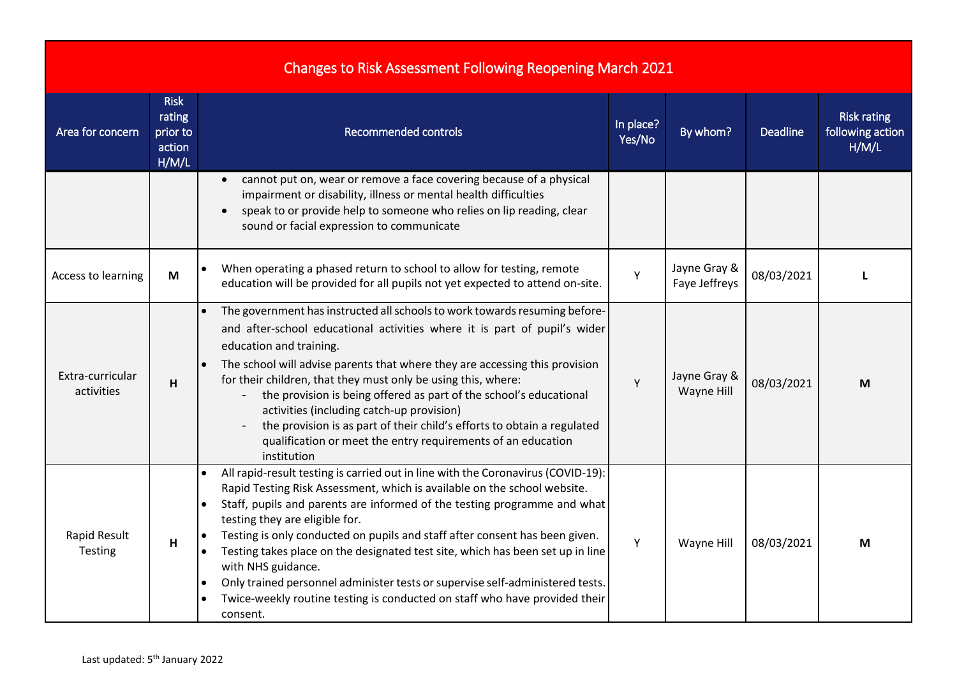## Changes to Risk Assessment Following Reopening March 2021

| Area for concern               | <b>Risk</b><br>rating<br>prior to<br>action<br>H/M/L | <b>Recommended controls</b>                                                                                                                                                                                                                                                                                                                                                                                                                                                                                                                                                                                                                                            | In place?<br>Yes/No | By whom?                      | <b>Deadline</b> | <b>Risk rating</b><br>following action<br>H/M/L |
|--------------------------------|------------------------------------------------------|------------------------------------------------------------------------------------------------------------------------------------------------------------------------------------------------------------------------------------------------------------------------------------------------------------------------------------------------------------------------------------------------------------------------------------------------------------------------------------------------------------------------------------------------------------------------------------------------------------------------------------------------------------------------|---------------------|-------------------------------|-----------------|-------------------------------------------------|
|                                |                                                      | cannot put on, wear or remove a face covering because of a physical<br>impairment or disability, illness or mental health difficulties<br>speak to or provide help to someone who relies on lip reading, clear<br>sound or facial expression to communicate                                                                                                                                                                                                                                                                                                                                                                                                            |                     |                               |                 |                                                 |
| Access to learning             | M                                                    | When operating a phased return to school to allow for testing, remote<br>education will be provided for all pupils not yet expected to attend on-site.                                                                                                                                                                                                                                                                                                                                                                                                                                                                                                                 | Y                   | Jayne Gray &<br>Faye Jeffreys | 08/03/2021      | п                                               |
| Extra-curricular<br>activities | H                                                    | The government has instructed all schools to work towards resuming before-<br>and after-school educational activities where it is part of pupil's wider<br>education and training.<br>The school will advise parents that where they are accessing this provision<br>for their children, that they must only be using this, where:<br>the provision is being offered as part of the school's educational<br>activities (including catch-up provision)<br>the provision is as part of their child's efforts to obtain a regulated<br>qualification or meet the entry requirements of an education<br>institution                                                        | Υ                   | Jayne Gray &<br>Wayne Hill    | 08/03/2021      | M                                               |
| Rapid Result<br>Testing        | H                                                    | All rapid-result testing is carried out in line with the Coronavirus (COVID-19):<br>Rapid Testing Risk Assessment, which is available on the school website.<br>Staff, pupils and parents are informed of the testing programme and what<br>$\bullet$<br>testing they are eligible for.<br>Testing is only conducted on pupils and staff after consent has been given.<br>Testing takes place on the designated test site, which has been set up in line<br>with NHS guidance.<br>Only trained personnel administer tests or supervise self-administered tests.<br>$\bullet$<br>Twice-weekly routine testing is conducted on staff who have provided their<br>consent. | Y                   | Wayne Hill                    | 08/03/2021      | M                                               |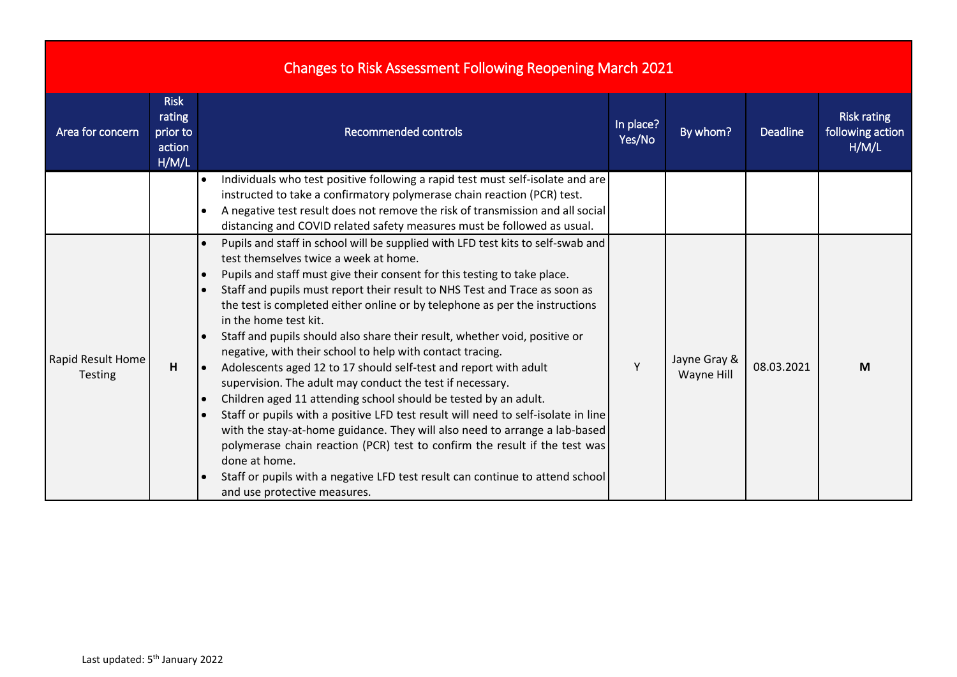| <b>Changes to Risk Assessment Following Reopening March 2021</b> |  |  |
|------------------------------------------------------------------|--|--|

| Area for concern                    | <b>Risk</b><br>rating<br>prior to<br>action<br>H/M/L | <b>Recommended controls</b>                                                                                                                                                                                                                                                                                                                                                                                                                                                                                                                                                                                                                                                                                                                                                                                                                                                                                                                                                                                                                                                                                                         | In place?<br>Yes/No | By whom?                   | <b>Deadline</b> | <b>Risk rating</b><br>following action<br>H/M/L |
|-------------------------------------|------------------------------------------------------|-------------------------------------------------------------------------------------------------------------------------------------------------------------------------------------------------------------------------------------------------------------------------------------------------------------------------------------------------------------------------------------------------------------------------------------------------------------------------------------------------------------------------------------------------------------------------------------------------------------------------------------------------------------------------------------------------------------------------------------------------------------------------------------------------------------------------------------------------------------------------------------------------------------------------------------------------------------------------------------------------------------------------------------------------------------------------------------------------------------------------------------|---------------------|----------------------------|-----------------|-------------------------------------------------|
|                                     |                                                      | Individuals who test positive following a rapid test must self-isolate and are<br>instructed to take a confirmatory polymerase chain reaction (PCR) test.<br>A negative test result does not remove the risk of transmission and all social<br>distancing and COVID related safety measures must be followed as usual.                                                                                                                                                                                                                                                                                                                                                                                                                                                                                                                                                                                                                                                                                                                                                                                                              |                     |                            |                 |                                                 |
| Rapid Result Home<br><b>Testing</b> | H                                                    | Pupils and staff in school will be supplied with LFD test kits to self-swab and<br>test themselves twice a week at home.<br>Pupils and staff must give their consent for this testing to take place.<br>Staff and pupils must report their result to NHS Test and Trace as soon as<br>the test is completed either online or by telephone as per the instructions<br>in the home test kit.<br>Staff and pupils should also share their result, whether void, positive or<br>negative, with their school to help with contact tracing.<br>Adolescents aged 12 to 17 should self-test and report with adult<br>l e<br>supervision. The adult may conduct the test if necessary.<br>Children aged 11 attending school should be tested by an adult.<br>Staff or pupils with a positive LFD test result will need to self-isolate in line<br>with the stay-at-home guidance. They will also need to arrange a lab-based<br>polymerase chain reaction (PCR) test to confirm the result if the test was<br>done at home.<br>Staff or pupils with a negative LFD test result can continue to attend school<br>and use protective measures. |                     | Jayne Gray &<br>Wayne Hill | 08.03.2021      | M                                               |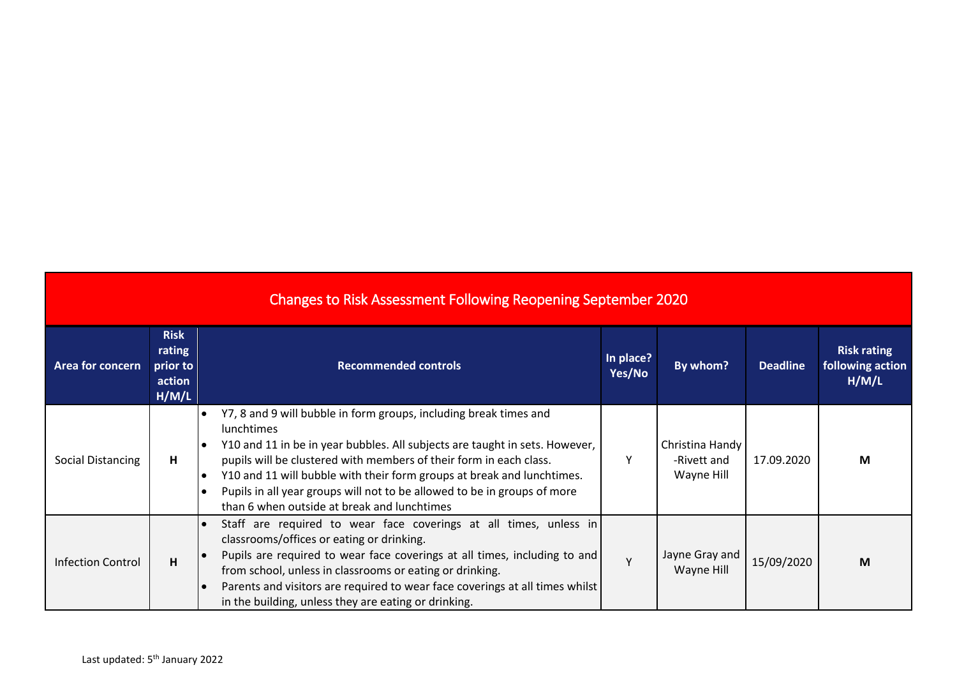| <b>Changes to Risk Assessment Following Reopening September 2020</b> |                                                      |                                                                                                                                                                                                                                                                                                                                                                                                                                                  |                     |                                              |                 |                                                 |  |  |
|----------------------------------------------------------------------|------------------------------------------------------|--------------------------------------------------------------------------------------------------------------------------------------------------------------------------------------------------------------------------------------------------------------------------------------------------------------------------------------------------------------------------------------------------------------------------------------------------|---------------------|----------------------------------------------|-----------------|-------------------------------------------------|--|--|
| Area for concern                                                     | <b>Risk</b><br>rating<br>prior to<br>action<br>H/M/L | <b>Recommended controls</b>                                                                                                                                                                                                                                                                                                                                                                                                                      | In place?<br>Yes/No | By whom?                                     | <b>Deadline</b> | <b>Risk rating</b><br>following action<br>H/M/L |  |  |
| Social Distancing                                                    | H                                                    | Y7, 8 and 9 will bubble in form groups, including break times and<br><b>lunchtimes</b><br>Y10 and 11 in be in year bubbles. All subjects are taught in sets. However,<br>pupils will be clustered with members of their form in each class.<br>Y10 and 11 will bubble with their form groups at break and lunchtimes.<br>Pupils in all year groups will not to be allowed to be in groups of more<br>than 6 when outside at break and lunchtimes | Υ                   | Christina Handy<br>-Rivett and<br>Wayne Hill | 17.09.2020      | M                                               |  |  |
| <b>Infection Control</b>                                             | H                                                    | Staff are required to wear face coverings at all times, unless in<br>classrooms/offices or eating or drinking.<br>Pupils are required to wear face coverings at all times, including to and<br>from school, unless in classrooms or eating or drinking.<br>Parents and visitors are required to wear face coverings at all times whilst<br>in the building, unless they are eating or drinking.                                                  | Y                   | Jayne Gray and<br>Wayne Hill                 | 15/09/2020      | M                                               |  |  |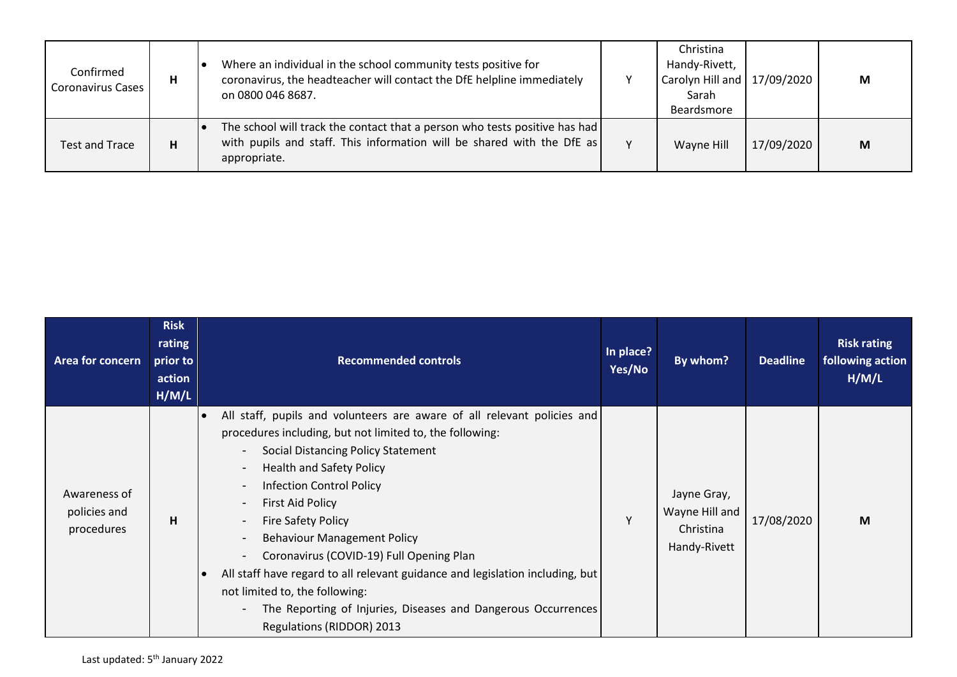| Confirmed<br><b>Coronavirus Cases</b> | н | Where an individual in the school community tests positive for<br>coronavirus, the headteacher will contact the DfE helpline immediately<br>on 0800 046 8687.        |              | Christina<br>Handy-Rivett,<br>Carolyn Hill and 17/09/2020<br>Sarah<br>Beardsmore |            | M |
|---------------------------------------|---|----------------------------------------------------------------------------------------------------------------------------------------------------------------------|--------------|----------------------------------------------------------------------------------|------------|---|
| Test and Trace                        | н | The school will track the contact that a person who tests positive has had<br>with pupils and staff. This information will be shared with the DfE as<br>appropriate. | $\mathsf{v}$ | Wayne Hill                                                                       | 17/09/2020 | M |

| <b>Area for concern</b>                    | <b>Risk</b><br>rating<br>prior to<br>action<br>H/M/L | <b>Recommended controls</b>                                                                                                                                                                                                                                                                                                                                                                                                                                                                                                                                                                                                                                                                                               | In place?<br>Yes/No | By whom?                                                   | <b>Deadline</b> | <b>Risk rating</b><br>following action<br>H/M/L |
|--------------------------------------------|------------------------------------------------------|---------------------------------------------------------------------------------------------------------------------------------------------------------------------------------------------------------------------------------------------------------------------------------------------------------------------------------------------------------------------------------------------------------------------------------------------------------------------------------------------------------------------------------------------------------------------------------------------------------------------------------------------------------------------------------------------------------------------------|---------------------|------------------------------------------------------------|-----------------|-------------------------------------------------|
| Awareness of<br>policies and<br>procedures | н                                                    | All staff, pupils and volunteers are aware of all relevant policies and<br>procedures including, but not limited to, the following:<br>Social Distancing Policy Statement<br>$\blacksquare$<br><b>Health and Safety Policy</b><br>$\blacksquare$<br><b>Infection Control Policy</b><br>$\blacksquare$<br>First Aid Policy<br>$\blacksquare$<br><b>Fire Safety Policy</b><br><b>Behaviour Management Policy</b><br>Coronavirus (COVID-19) Full Opening Plan<br>All staff have regard to all relevant guidance and legislation including, but<br>$\overline{\phantom{a}}$<br>not limited to, the following:<br>The Reporting of Injuries, Diseases and Dangerous Occurrences<br>$\blacksquare$<br>Regulations (RIDDOR) 2013 | v                   | Jayne Gray,<br>Wayne Hill and<br>Christina<br>Handy-Rivett | 17/08/2020      | M                                               |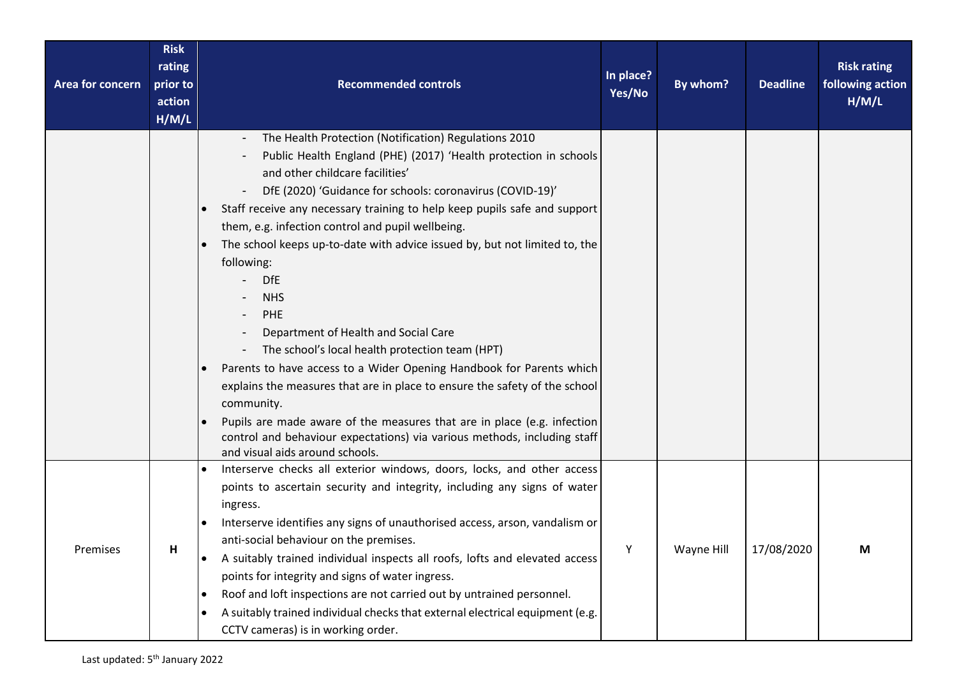| Area for concern | <b>Risk</b><br>rating<br>prior to<br>action<br>H/M/L | <b>Recommended controls</b>                                                                                                                                                                                                                                                                                                                                                                                                                                                                                                                                                                                                                                                                                                                                                                                                                                                                                                                         | In place?<br>Yes/No | By whom?   | <b>Deadline</b> | <b>Risk rating</b><br>following action<br>H/M/L |
|------------------|------------------------------------------------------|-----------------------------------------------------------------------------------------------------------------------------------------------------------------------------------------------------------------------------------------------------------------------------------------------------------------------------------------------------------------------------------------------------------------------------------------------------------------------------------------------------------------------------------------------------------------------------------------------------------------------------------------------------------------------------------------------------------------------------------------------------------------------------------------------------------------------------------------------------------------------------------------------------------------------------------------------------|---------------------|------------|-----------------|-------------------------------------------------|
|                  |                                                      | The Health Protection (Notification) Regulations 2010<br>Public Health England (PHE) (2017) 'Health protection in schools<br>and other childcare facilities'<br>DfE (2020) 'Guidance for schools: coronavirus (COVID-19)'<br>Staff receive any necessary training to help keep pupils safe and support<br>them, e.g. infection control and pupil wellbeing.<br>The school keeps up-to-date with advice issued by, but not limited to, the<br>following:<br><b>DfE</b><br><b>NHS</b><br>PHE<br>Department of Health and Social Care<br>The school's local health protection team (HPT)<br>Parents to have access to a Wider Opening Handbook for Parents which<br>explains the measures that are in place to ensure the safety of the school<br>community.<br>Pupils are made aware of the measures that are in place (e.g. infection<br>control and behaviour expectations) via various methods, including staff<br>and visual aids around schools. |                     |            |                 |                                                 |
| Premises         | п.                                                   | Interserve checks all exterior windows, doors, locks, and other access<br>points to ascertain security and integrity, including any signs of water<br>ingress.<br>Interserve identifies any signs of unauthorised access, arson, vandalism or<br>anti-social behaviour on the premises.<br>A suitably trained individual inspects all roofs, lofts and elevated access<br>points for integrity and signs of water ingress.<br>Roof and loft inspections are not carried out by untrained personnel.<br>A suitably trained individual checks that external electrical equipment (e.g.<br>$\bullet$<br>CCTV cameras) is in working order.                                                                                                                                                                                                                                                                                                             | Y                   | Wayne Hill | 17/08/2020      | M                                               |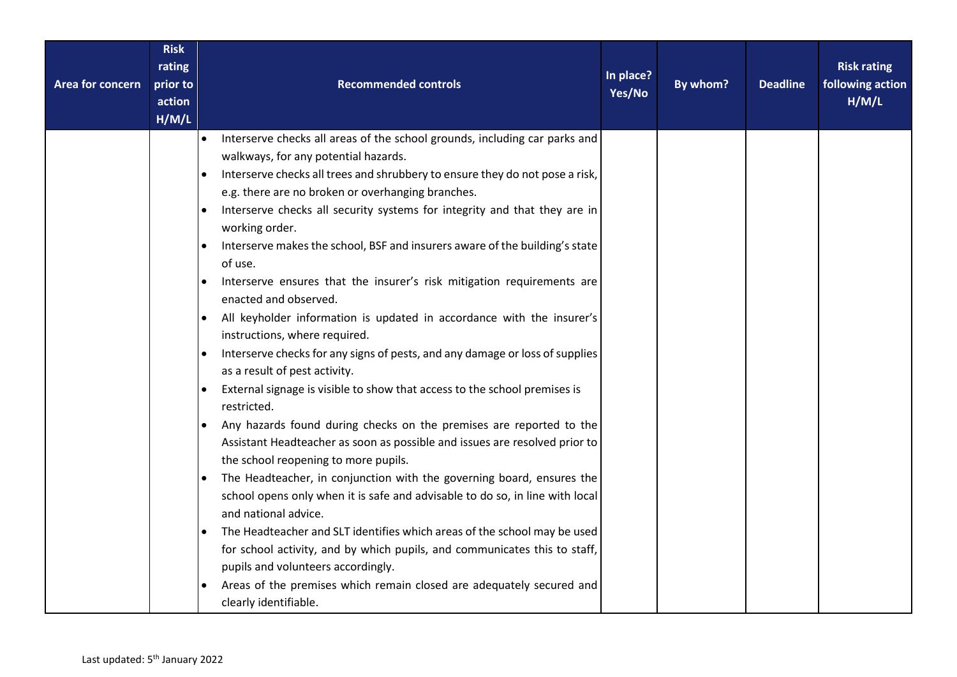| <b>Risk</b><br>rating<br>prior to<br>Area for concern<br>action<br>H/M/L | <b>Recommended controls</b>                                                                                                                                                                                                                                                                                                                                                                                                                                                                                                                                                                                                                                                                                                                                                                                                                                                                                                                                                                                                                                                                                                                                                                                                                                                                                                                                                                                                                                                                                                                                           | In place?<br>Yes/No | By whom? | <b>Deadline</b> | <b>Risk rating</b><br>following action<br>H/M/L |
|--------------------------------------------------------------------------|-----------------------------------------------------------------------------------------------------------------------------------------------------------------------------------------------------------------------------------------------------------------------------------------------------------------------------------------------------------------------------------------------------------------------------------------------------------------------------------------------------------------------------------------------------------------------------------------------------------------------------------------------------------------------------------------------------------------------------------------------------------------------------------------------------------------------------------------------------------------------------------------------------------------------------------------------------------------------------------------------------------------------------------------------------------------------------------------------------------------------------------------------------------------------------------------------------------------------------------------------------------------------------------------------------------------------------------------------------------------------------------------------------------------------------------------------------------------------------------------------------------------------------------------------------------------------|---------------------|----------|-----------------|-------------------------------------------------|
|                                                                          | Interserve checks all areas of the school grounds, including car parks and<br>$\bullet$<br>walkways, for any potential hazards.<br>Interserve checks all trees and shrubbery to ensure they do not pose a risk,<br>e.g. there are no broken or overhanging branches.<br>Interserve checks all security systems for integrity and that they are in<br>working order.<br>Interserve makes the school, BSF and insurers aware of the building's state<br>of use.<br>Interserve ensures that the insurer's risk mitigation requirements are<br>enacted and observed.<br>All keyholder information is updated in accordance with the insurer's<br>instructions, where required.<br>Interserve checks for any signs of pests, and any damage or loss of supplies<br>as a result of pest activity.<br>External signage is visible to show that access to the school premises is<br>restricted.<br>Any hazards found during checks on the premises are reported to the<br>Assistant Headteacher as soon as possible and issues are resolved prior to<br>the school reopening to more pupils.<br>The Headteacher, in conjunction with the governing board, ensures the<br>school opens only when it is safe and advisable to do so, in line with local<br>and national advice.<br>The Headteacher and SLT identifies which areas of the school may be used<br>for school activity, and by which pupils, and communicates this to staff,<br>pupils and volunteers accordingly.<br>Areas of the premises which remain closed are adequately secured and<br>clearly identifiable. |                     |          |                 |                                                 |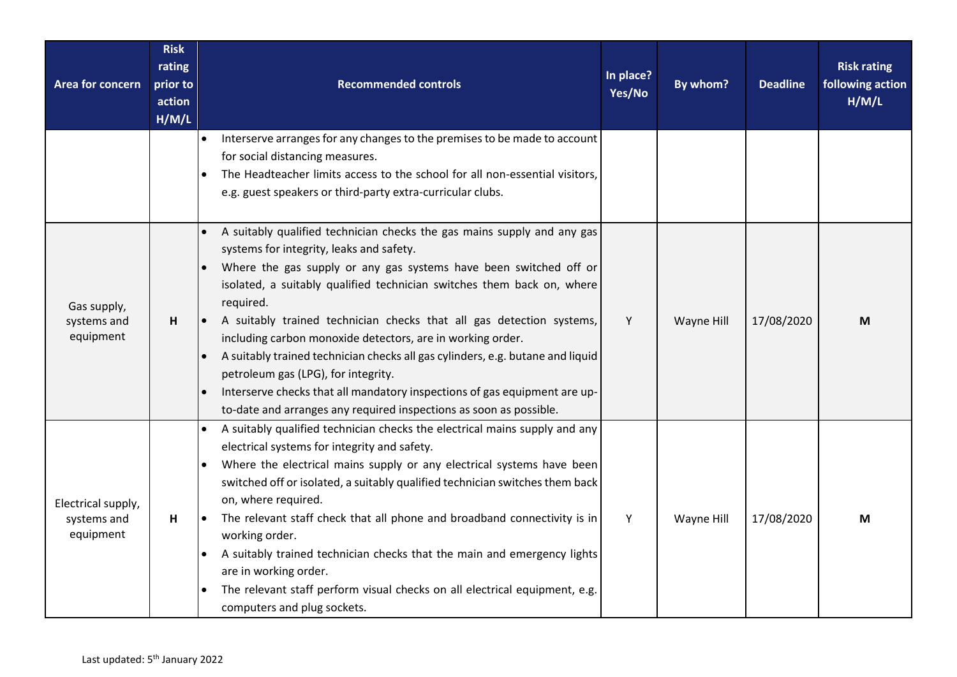| Area for concern                               | <b>Risk</b><br>rating<br>prior to<br>action<br>H/M/L | <b>Recommended controls</b>                                                                                                                                                                                                                                                                                                                                                                                                                                                                                                                                                                                                                                                                       | In place?<br>Yes/No | By whom?   | <b>Deadline</b> | <b>Risk rating</b><br>following action<br>H/M/L |
|------------------------------------------------|------------------------------------------------------|---------------------------------------------------------------------------------------------------------------------------------------------------------------------------------------------------------------------------------------------------------------------------------------------------------------------------------------------------------------------------------------------------------------------------------------------------------------------------------------------------------------------------------------------------------------------------------------------------------------------------------------------------------------------------------------------------|---------------------|------------|-----------------|-------------------------------------------------|
|                                                |                                                      | Interserve arranges for any changes to the premises to be made to account<br>$\bullet$<br>for social distancing measures.<br>The Headteacher limits access to the school for all non-essential visitors,<br>e.g. guest speakers or third-party extra-curricular clubs.                                                                                                                                                                                                                                                                                                                                                                                                                            |                     |            |                 |                                                 |
| Gas supply,<br>systems and<br>equipment        | H                                                    | A suitably qualified technician checks the gas mains supply and any gas<br>systems for integrity, leaks and safety.<br>Where the gas supply or any gas systems have been switched off or<br>isolated, a suitably qualified technician switches them back on, where<br>required.<br>A suitably trained technician checks that all gas detection systems,<br>including carbon monoxide detectors, are in working order.<br>A suitably trained technician checks all gas cylinders, e.g. butane and liquid<br>petroleum gas (LPG), for integrity.<br>Interserve checks that all mandatory inspections of gas equipment are up-<br>to-date and arranges any required inspections as soon as possible. | Y                   | Wayne Hill | 17/08/2020      | М                                               |
| Electrical supply,<br>systems and<br>equipment | H                                                    | A suitably qualified technician checks the electrical mains supply and any<br>electrical systems for integrity and safety.<br>Where the electrical mains supply or any electrical systems have been<br>switched off or isolated, a suitably qualified technician switches them back<br>on, where required.<br>The relevant staff check that all phone and broadband connectivity is in<br>$\bullet$<br>working order.<br>A suitably trained technician checks that the main and emergency lights<br>are in working order.<br>The relevant staff perform visual checks on all electrical equipment, e.g.<br>computers and plug sockets.                                                            | Y                   | Wayne Hill | 17/08/2020      | М                                               |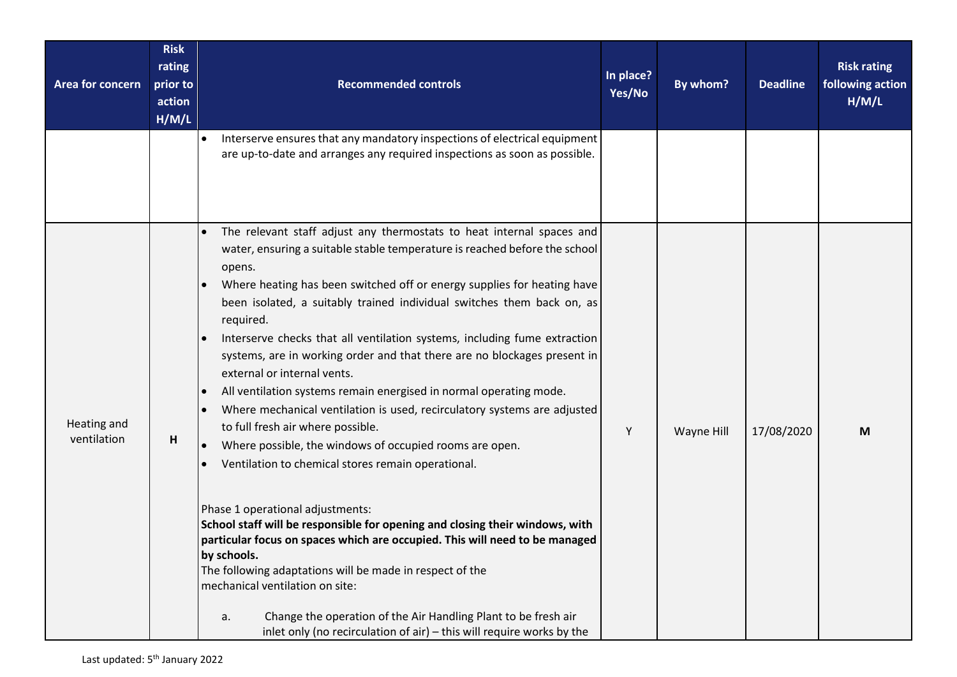| Area for concern           | <b>Risk</b><br>rating<br>prior to<br>action<br>H/M/L | <b>Recommended controls</b>                                                                                                                                                                                                                                                                                                                                                                                                                                                                                                                                                                                                                                                                                                                                                                                                                                                                                                                                                                                                                                                                                                                                                                                                                                                                       | In place?<br>Yes/No | By whom?   | <b>Deadline</b> | <b>Risk rating</b><br>following action<br>H/M/L |
|----------------------------|------------------------------------------------------|---------------------------------------------------------------------------------------------------------------------------------------------------------------------------------------------------------------------------------------------------------------------------------------------------------------------------------------------------------------------------------------------------------------------------------------------------------------------------------------------------------------------------------------------------------------------------------------------------------------------------------------------------------------------------------------------------------------------------------------------------------------------------------------------------------------------------------------------------------------------------------------------------------------------------------------------------------------------------------------------------------------------------------------------------------------------------------------------------------------------------------------------------------------------------------------------------------------------------------------------------------------------------------------------------|---------------------|------------|-----------------|-------------------------------------------------|
|                            |                                                      | Interserve ensures that any mandatory inspections of electrical equipment<br>$\bullet$<br>are up-to-date and arranges any required inspections as soon as possible.                                                                                                                                                                                                                                                                                                                                                                                                                                                                                                                                                                                                                                                                                                                                                                                                                                                                                                                                                                                                                                                                                                                               |                     |            |                 |                                                 |
| Heating and<br>ventilation | н                                                    | The relevant staff adjust any thermostats to heat internal spaces and<br>water, ensuring a suitable stable temperature is reached before the school<br>opens.<br>Where heating has been switched off or energy supplies for heating have<br>been isolated, a suitably trained individual switches them back on, as<br>required.<br>Interserve checks that all ventilation systems, including fume extraction<br>systems, are in working order and that there are no blockages present in<br>external or internal vents.<br>All ventilation systems remain energised in normal operating mode.<br>Where mechanical ventilation is used, recirculatory systems are adjusted<br>to full fresh air where possible.<br>Where possible, the windows of occupied rooms are open.<br>Ventilation to chemical stores remain operational.<br>Phase 1 operational adjustments:<br>School staff will be responsible for opening and closing their windows, with<br>particular focus on spaces which are occupied. This will need to be managed<br>by schools.<br>The following adaptations will be made in respect of the<br>mechanical ventilation on site:<br>Change the operation of the Air Handling Plant to be fresh air<br>a.<br>inlet only (no recirculation of air) - this will require works by the | Y                   | Wayne Hill | 17/08/2020      | M                                               |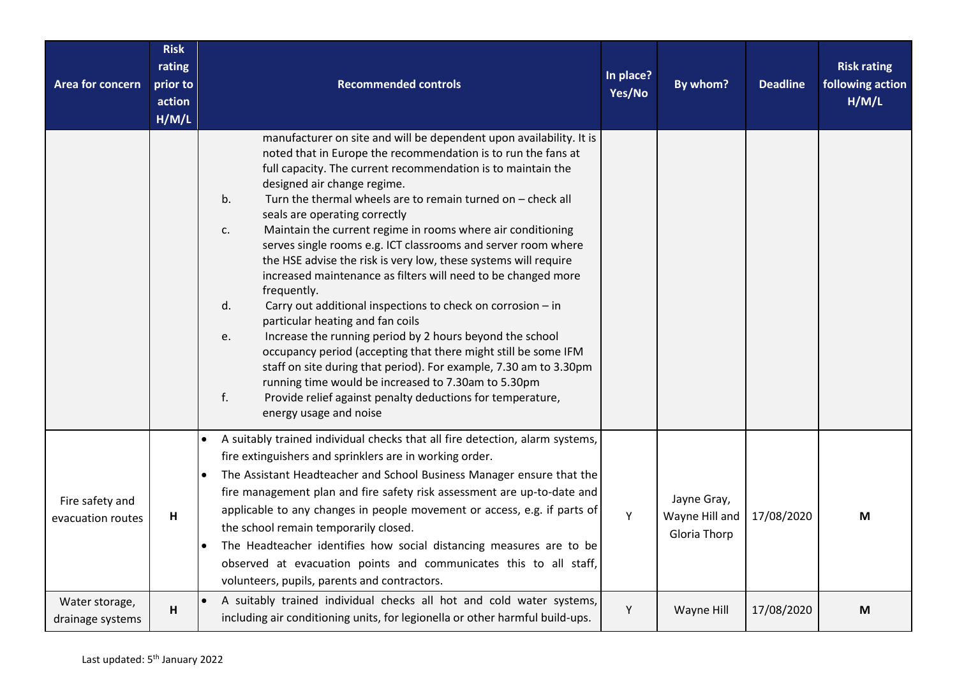| Area for concern                     | <b>Risk</b><br>rating<br>prior to<br>action<br>H/M/L | <b>Recommended controls</b>                                                                                                                                                                                                                                                                                                                                                                                                                                                                                                                                                                                                                                                                                                                                                                                                                                                                                                                                                                                                                                                                               | In place?<br>Yes/No | By whom?                                      | <b>Deadline</b> | <b>Risk rating</b><br>following action<br>H/M/L |
|--------------------------------------|------------------------------------------------------|-----------------------------------------------------------------------------------------------------------------------------------------------------------------------------------------------------------------------------------------------------------------------------------------------------------------------------------------------------------------------------------------------------------------------------------------------------------------------------------------------------------------------------------------------------------------------------------------------------------------------------------------------------------------------------------------------------------------------------------------------------------------------------------------------------------------------------------------------------------------------------------------------------------------------------------------------------------------------------------------------------------------------------------------------------------------------------------------------------------|---------------------|-----------------------------------------------|-----------------|-------------------------------------------------|
|                                      |                                                      | manufacturer on site and will be dependent upon availability. It is<br>noted that in Europe the recommendation is to run the fans at<br>full capacity. The current recommendation is to maintain the<br>designed air change regime.<br>Turn the thermal wheels are to remain turned on - check all<br>b.<br>seals are operating correctly<br>Maintain the current regime in rooms where air conditioning<br>c.<br>serves single rooms e.g. ICT classrooms and server room where<br>the HSE advise the risk is very low, these systems will require<br>increased maintenance as filters will need to be changed more<br>frequently.<br>Carry out additional inspections to check on corrosion - in<br>d.<br>particular heating and fan coils<br>Increase the running period by 2 hours beyond the school<br>e.<br>occupancy period (accepting that there might still be some IFM<br>staff on site during that period). For example, 7.30 am to 3.30pm<br>running time would be increased to 7.30am to 5.30pm<br>f.<br>Provide relief against penalty deductions for temperature,<br>energy usage and noise |                     |                                               |                 |                                                 |
| Fire safety and<br>evacuation routes | H                                                    | A suitably trained individual checks that all fire detection, alarm systems,<br>fire extinguishers and sprinklers are in working order.<br>The Assistant Headteacher and School Business Manager ensure that the<br>$\bullet$<br>fire management plan and fire safety risk assessment are up-to-date and<br>applicable to any changes in people movement or access, e.g. if parts of<br>the school remain temporarily closed.<br>The Headteacher identifies how social distancing measures are to be<br>observed at evacuation points and communicates this to all staff,<br>volunteers, pupils, parents and contractors.                                                                                                                                                                                                                                                                                                                                                                                                                                                                                 | Y                   | Jayne Gray,<br>Wayne Hill and<br>Gloria Thorp | 17/08/2020      | M                                               |
| Water storage,<br>drainage systems   | H                                                    | A suitably trained individual checks all hot and cold water systems,<br>including air conditioning units, for legionella or other harmful build-ups.                                                                                                                                                                                                                                                                                                                                                                                                                                                                                                                                                                                                                                                                                                                                                                                                                                                                                                                                                      | Υ                   | Wayne Hill                                    | 17/08/2020      | M                                               |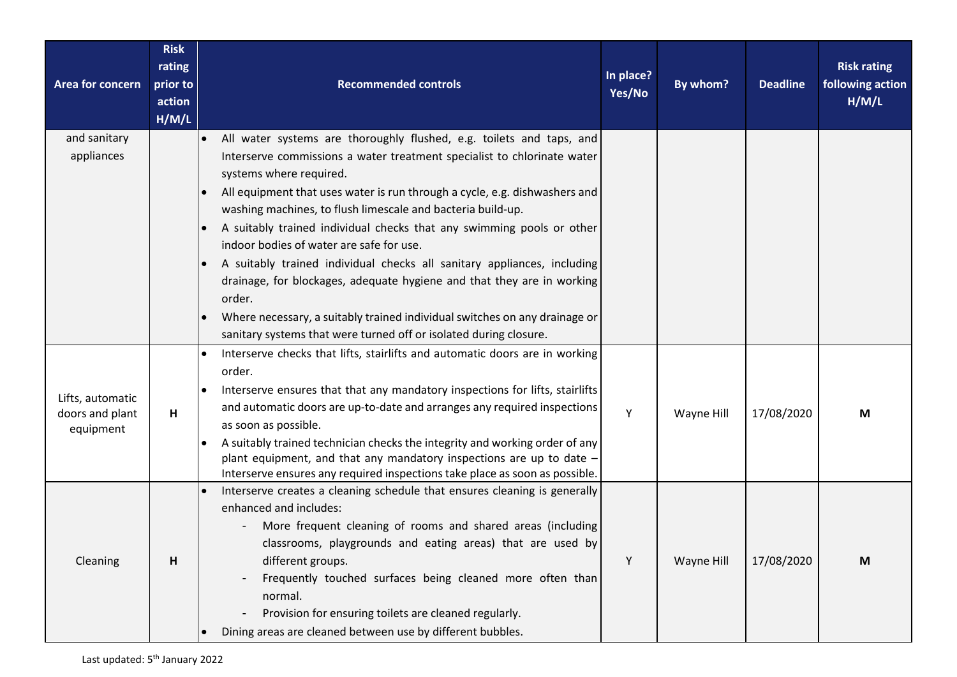| Area for concern | <b>Risk</b><br>rating<br>prior to<br>action<br>H/M/L | <b>Recommended controls</b>                                                                                                                         | In place?<br>Yes/No | By whom?   | <b>Deadline</b> | <b>Risk rating</b><br>following action<br>H/M/L |
|------------------|------------------------------------------------------|-----------------------------------------------------------------------------------------------------------------------------------------------------|---------------------|------------|-----------------|-------------------------------------------------|
| and sanitary     |                                                      | All water systems are thoroughly flushed, e.g. toilets and taps, and<br>$\bullet$                                                                   |                     |            |                 |                                                 |
| appliances       |                                                      | Interserve commissions a water treatment specialist to chlorinate water<br>systems where required.                                                  |                     |            |                 |                                                 |
|                  |                                                      | All equipment that uses water is run through a cycle, e.g. dishwashers and                                                                          |                     |            |                 |                                                 |
|                  |                                                      | washing machines, to flush limescale and bacteria build-up.                                                                                         |                     |            |                 |                                                 |
|                  |                                                      | A suitably trained individual checks that any swimming pools or other                                                                               |                     |            |                 |                                                 |
|                  |                                                      | indoor bodies of water are safe for use.                                                                                                            |                     |            |                 |                                                 |
|                  |                                                      | A suitably trained individual checks all sanitary appliances, including                                                                             |                     |            |                 |                                                 |
|                  |                                                      | drainage, for blockages, adequate hygiene and that they are in working<br>order.                                                                    |                     |            |                 |                                                 |
|                  |                                                      | Where necessary, a suitably trained individual switches on any drainage or                                                                          |                     |            |                 |                                                 |
|                  |                                                      | sanitary systems that were turned off or isolated during closure.                                                                                   |                     |            |                 |                                                 |
|                  |                                                      | Interserve checks that lifts, stairlifts and automatic doors are in working                                                                         |                     |            |                 |                                                 |
|                  |                                                      | order.                                                                                                                                              |                     |            |                 |                                                 |
| Lifts, automatic |                                                      | Interserve ensures that that any mandatory inspections for lifts, stairlifts                                                                        |                     |            |                 |                                                 |
| doors and plant  | H                                                    | and automatic doors are up-to-date and arranges any required inspections                                                                            | Y                   | Wayne Hill | 17/08/2020      | M                                               |
| equipment        |                                                      | as soon as possible.                                                                                                                                |                     |            |                 |                                                 |
|                  |                                                      | A suitably trained technician checks the integrity and working order of any<br>plant equipment, and that any mandatory inspections are up to date - |                     |            |                 |                                                 |
|                  |                                                      | Interserve ensures any required inspections take place as soon as possible.                                                                         |                     |            |                 |                                                 |
|                  |                                                      | Interserve creates a cleaning schedule that ensures cleaning is generally                                                                           |                     |            |                 |                                                 |
|                  |                                                      | enhanced and includes:                                                                                                                              |                     |            |                 |                                                 |
|                  |                                                      | More frequent cleaning of rooms and shared areas (including                                                                                         |                     |            |                 |                                                 |
|                  |                                                      | classrooms, playgrounds and eating areas) that are used by                                                                                          |                     |            |                 |                                                 |
| Cleaning         | H                                                    | different groups.                                                                                                                                   | Υ                   | Wayne Hill | 17/08/2020      | M                                               |
|                  |                                                      | Frequently touched surfaces being cleaned more often than                                                                                           |                     |            |                 |                                                 |
|                  |                                                      | normal.<br>Provision for ensuring toilets are cleaned regularly.                                                                                    |                     |            |                 |                                                 |
|                  |                                                      | Dining areas are cleaned between use by different bubbles.                                                                                          |                     |            |                 |                                                 |
|                  |                                                      |                                                                                                                                                     |                     |            |                 |                                                 |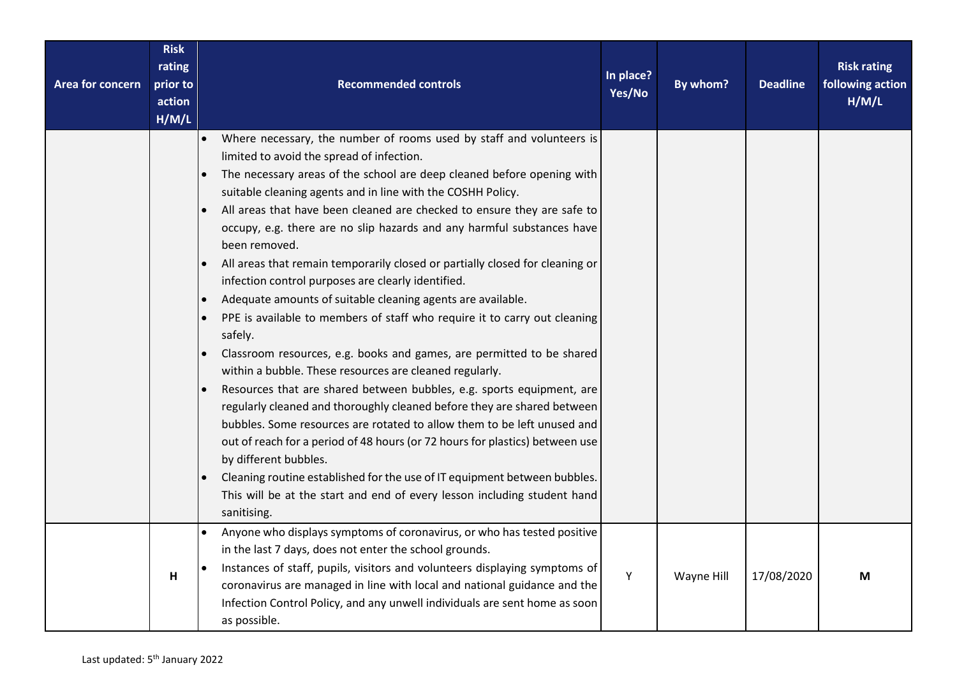| Area for concern | <b>Risk</b><br>rating<br>prior to<br>action<br>H/M/L | <b>Recommended controls</b>                                                                                                                                                                                                                                                                                                                                                                                                                                                                                                                                                                                                                                                                                                                                                                                                                                                                                                                                                                                                                                                                                                                                                                                                                                                                                                                                                                                              | In place?<br>Yes/No | By whom?   | <b>Deadline</b> | <b>Risk rating</b><br>following action<br>H/M/L |
|------------------|------------------------------------------------------|--------------------------------------------------------------------------------------------------------------------------------------------------------------------------------------------------------------------------------------------------------------------------------------------------------------------------------------------------------------------------------------------------------------------------------------------------------------------------------------------------------------------------------------------------------------------------------------------------------------------------------------------------------------------------------------------------------------------------------------------------------------------------------------------------------------------------------------------------------------------------------------------------------------------------------------------------------------------------------------------------------------------------------------------------------------------------------------------------------------------------------------------------------------------------------------------------------------------------------------------------------------------------------------------------------------------------------------------------------------------------------------------------------------------------|---------------------|------------|-----------------|-------------------------------------------------|
|                  |                                                      | Where necessary, the number of rooms used by staff and volunteers is<br>$\bullet$<br>limited to avoid the spread of infection.<br>The necessary areas of the school are deep cleaned before opening with<br>$\bullet$<br>suitable cleaning agents and in line with the COSHH Policy.<br>All areas that have been cleaned are checked to ensure they are safe to<br>occupy, e.g. there are no slip hazards and any harmful substances have<br>been removed.<br>All areas that remain temporarily closed or partially closed for cleaning or<br>$\bullet$<br>infection control purposes are clearly identified.<br>Adequate amounts of suitable cleaning agents are available.<br>PPE is available to members of staff who require it to carry out cleaning<br>safely.<br>Classroom resources, e.g. books and games, are permitted to be shared<br>within a bubble. These resources are cleaned regularly.<br>Resources that are shared between bubbles, e.g. sports equipment, are<br>regularly cleaned and thoroughly cleaned before they are shared between<br>bubbles. Some resources are rotated to allow them to be left unused and<br>out of reach for a period of 48 hours (or 72 hours for plastics) between use<br>by different bubbles.<br>Cleaning routine established for the use of IT equipment between bubbles.<br>This will be at the start and end of every lesson including student hand<br>sanitising. |                     |            |                 |                                                 |
|                  | H                                                    | Anyone who displays symptoms of coronavirus, or who has tested positive<br>$\bullet$<br>in the last 7 days, does not enter the school grounds.<br>Instances of staff, pupils, visitors and volunteers displaying symptoms of<br>coronavirus are managed in line with local and national guidance and the<br>Infection Control Policy, and any unwell individuals are sent home as soon<br>as possible.                                                                                                                                                                                                                                                                                                                                                                                                                                                                                                                                                                                                                                                                                                                                                                                                                                                                                                                                                                                                                   | Y                   | Wayne Hill | 17/08/2020      | M                                               |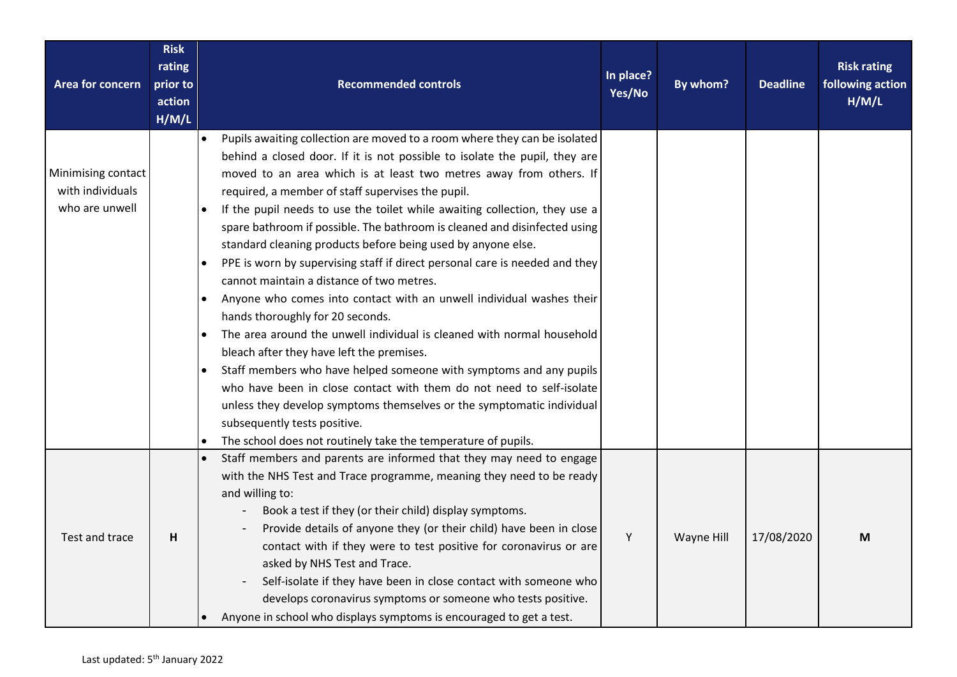| Area for concern                       | <b>Risk</b><br>rating<br>prior to<br>action<br>H/M/L | <b>Recommended controls</b>                                                                                             | In place?<br>Yes/No | By whom?   | <b>Deadline</b> | <b>Risk rating</b><br>following action<br>H/M/L |
|----------------------------------------|------------------------------------------------------|-------------------------------------------------------------------------------------------------------------------------|---------------------|------------|-----------------|-------------------------------------------------|
|                                        |                                                      | Pupils awaiting collection are moved to a room where they can be isolated<br>$\bullet$                                  |                     |            |                 |                                                 |
|                                        |                                                      | behind a closed door. If it is not possible to isolate the pupil, they are                                              |                     |            |                 |                                                 |
| Minimising contact<br>with individuals |                                                      | moved to an area which is at least two metres away from others. If<br>required, a member of staff supervises the pupil. |                     |            |                 |                                                 |
| who are unwell                         |                                                      | If the pupil needs to use the toilet while awaiting collection, they use a                                              |                     |            |                 |                                                 |
|                                        |                                                      | spare bathroom if possible. The bathroom is cleaned and disinfected using                                               |                     |            |                 |                                                 |
|                                        |                                                      | standard cleaning products before being used by anyone else.                                                            |                     |            |                 |                                                 |
|                                        |                                                      | PPE is worn by supervising staff if direct personal care is needed and they                                             |                     |            |                 |                                                 |
|                                        |                                                      | cannot maintain a distance of two metres.                                                                               |                     |            |                 |                                                 |
|                                        |                                                      | Anyone who comes into contact with an unwell individual washes their                                                    |                     |            |                 |                                                 |
|                                        |                                                      | hands thoroughly for 20 seconds.                                                                                        |                     |            |                 |                                                 |
|                                        |                                                      | The area around the unwell individual is cleaned with normal household                                                  |                     |            |                 |                                                 |
|                                        |                                                      | bleach after they have left the premises.                                                                               |                     |            |                 |                                                 |
|                                        |                                                      | Staff members who have helped someone with symptoms and any pupils                                                      |                     |            |                 |                                                 |
|                                        |                                                      | who have been in close contact with them do not need to self-isolate                                                    |                     |            |                 |                                                 |
|                                        |                                                      | unless they develop symptoms themselves or the symptomatic individual                                                   |                     |            |                 |                                                 |
|                                        |                                                      | subsequently tests positive.                                                                                            |                     |            |                 |                                                 |
|                                        |                                                      | The school does not routinely take the temperature of pupils.                                                           |                     |            |                 |                                                 |
|                                        |                                                      | Staff members and parents are informed that they may need to engage                                                     |                     |            |                 |                                                 |
|                                        |                                                      | with the NHS Test and Trace programme, meaning they need to be ready<br>and willing to:                                 |                     |            |                 |                                                 |
|                                        |                                                      | Book a test if they (or their child) display symptoms.                                                                  |                     |            |                 |                                                 |
|                                        |                                                      | Provide details of anyone they (or their child) have been in close                                                      |                     |            |                 |                                                 |
| Test and trace                         | н                                                    | contact with if they were to test positive for coronavirus or are                                                       | Υ                   | Wayne Hill | 17/08/2020      | M                                               |
|                                        |                                                      | asked by NHS Test and Trace.                                                                                            |                     |            |                 |                                                 |
|                                        |                                                      | Self-isolate if they have been in close contact with someone who                                                        |                     |            |                 |                                                 |
|                                        |                                                      | develops coronavirus symptoms or someone who tests positive.                                                            |                     |            |                 |                                                 |
|                                        |                                                      | Anyone in school who displays symptoms is encouraged to get a test.                                                     |                     |            |                 |                                                 |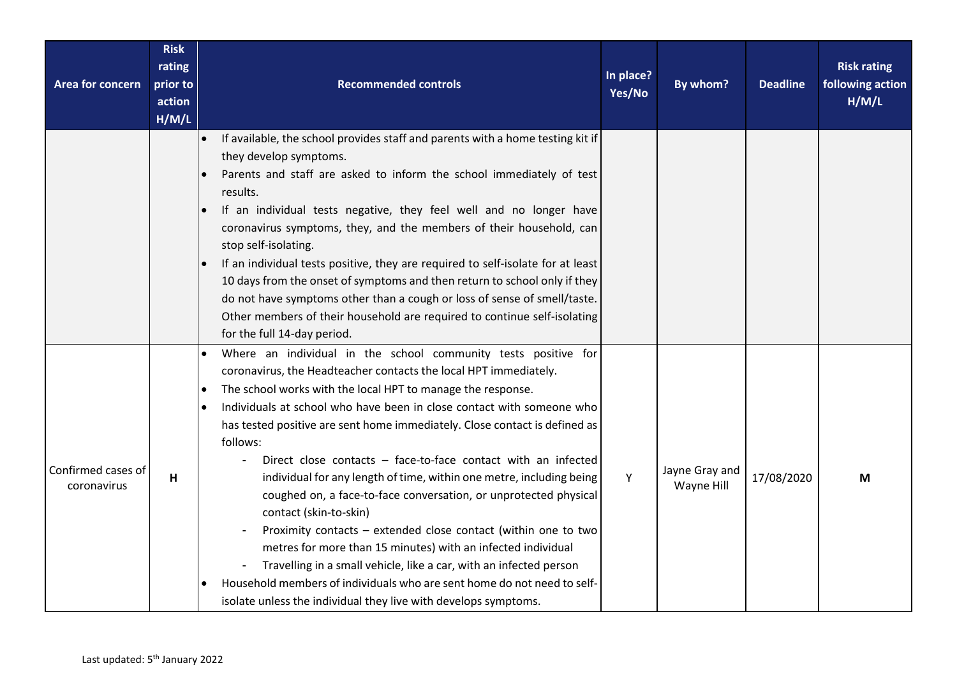| Area for concern                  | <b>Risk</b><br>rating<br>prior to<br>action<br>H/M/L | <b>Recommended controls</b>                                                                                                                                                                                                                                                                                                                                                                                                                                                                                                                                                                                                                                                                                                                                                                                                                                                                                                                                       | In place?<br>Yes/No | By whom?                     | <b>Deadline</b> | <b>Risk rating</b><br>following action<br>H/M/L |
|-----------------------------------|------------------------------------------------------|-------------------------------------------------------------------------------------------------------------------------------------------------------------------------------------------------------------------------------------------------------------------------------------------------------------------------------------------------------------------------------------------------------------------------------------------------------------------------------------------------------------------------------------------------------------------------------------------------------------------------------------------------------------------------------------------------------------------------------------------------------------------------------------------------------------------------------------------------------------------------------------------------------------------------------------------------------------------|---------------------|------------------------------|-----------------|-------------------------------------------------|
|                                   |                                                      | If available, the school provides staff and parents with a home testing kit if<br>$\bullet$<br>they develop symptoms.<br>Parents and staff are asked to inform the school immediately of test<br>results.<br>If an individual tests negative, they feel well and no longer have<br>coronavirus symptoms, they, and the members of their household, can<br>stop self-isolating.<br>If an individual tests positive, they are required to self-isolate for at least<br>10 days from the onset of symptoms and then return to school only if they<br>do not have symptoms other than a cough or loss of sense of smell/taste.<br>Other members of their household are required to continue self-isolating<br>for the full 14-day period.                                                                                                                                                                                                                             |                     |                              |                 |                                                 |
| Confirmed cases of<br>coronavirus | H                                                    | Where an individual in the school community tests positive for<br>coronavirus, the Headteacher contacts the local HPT immediately.<br>The school works with the local HPT to manage the response.<br>Individuals at school who have been in close contact with someone who<br>has tested positive are sent home immediately. Close contact is defined as<br>follows:<br>Direct close contacts - face-to-face contact with an infected<br>individual for any length of time, within one metre, including being<br>coughed on, a face-to-face conversation, or unprotected physical<br>contact (skin-to-skin)<br>Proximity contacts - extended close contact (within one to two<br>metres for more than 15 minutes) with an infected individual<br>Travelling in a small vehicle, like a car, with an infected person<br>Household members of individuals who are sent home do not need to self-<br>isolate unless the individual they live with develops symptoms. | Y                   | Jayne Gray and<br>Wayne Hill | 17/08/2020      | M                                               |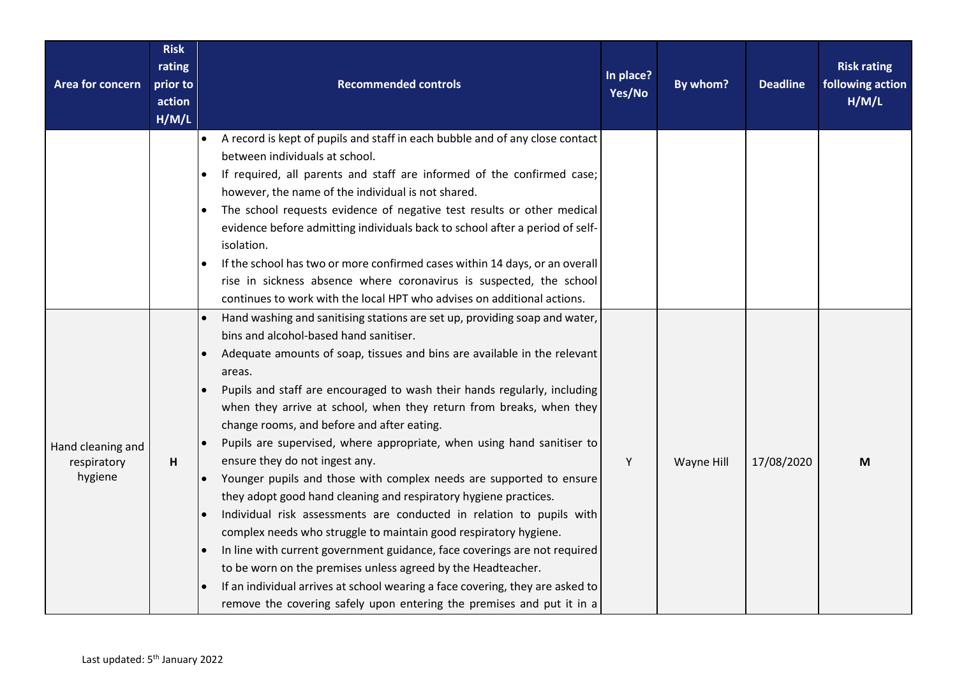| Area for concern                            | <b>Risk</b><br>rating<br>prior to<br>action<br>H/M/L | <b>Recommended controls</b>                                                                                                                                                                                                                                                                                                                                                                                                                                                                                                                                                                                                                                                                                                                                                                                                                                                                                                                                                                                                                                                                                                                     | In place?<br>Yes/No | By whom?   | <b>Deadline</b> | <b>Risk rating</b><br>following action<br>H/M/L |
|---------------------------------------------|------------------------------------------------------|-------------------------------------------------------------------------------------------------------------------------------------------------------------------------------------------------------------------------------------------------------------------------------------------------------------------------------------------------------------------------------------------------------------------------------------------------------------------------------------------------------------------------------------------------------------------------------------------------------------------------------------------------------------------------------------------------------------------------------------------------------------------------------------------------------------------------------------------------------------------------------------------------------------------------------------------------------------------------------------------------------------------------------------------------------------------------------------------------------------------------------------------------|---------------------|------------|-----------------|-------------------------------------------------|
|                                             |                                                      | A record is kept of pupils and staff in each bubble and of any close contact<br>$\bullet$<br>between individuals at school.<br>If required, all parents and staff are informed of the confirmed case;<br>however, the name of the individual is not shared.<br>The school requests evidence of negative test results or other medical<br>$\bullet$<br>evidence before admitting individuals back to school after a period of self-<br>isolation.<br>If the school has two or more confirmed cases within 14 days, or an overall<br>$\bullet$<br>rise in sickness absence where coronavirus is suspected, the school<br>continues to work with the local HPT who advises on additional actions.                                                                                                                                                                                                                                                                                                                                                                                                                                                  |                     |            |                 |                                                 |
| Hand cleaning and<br>respiratory<br>hygiene | H                                                    | Hand washing and sanitising stations are set up, providing soap and water,<br>bins and alcohol-based hand sanitiser.<br>Adequate amounts of soap, tissues and bins are available in the relevant<br>areas.<br>Pupils and staff are encouraged to wash their hands regularly, including<br>when they arrive at school, when they return from breaks, when they<br>change rooms, and before and after eating.<br>Pupils are supervised, where appropriate, when using hand sanitiser to<br>$\bullet$<br>ensure they do not ingest any.<br>Younger pupils and those with complex needs are supported to ensure<br>$\bullet$<br>they adopt good hand cleaning and respiratory hygiene practices.<br>Individual risk assessments are conducted in relation to pupils with<br>complex needs who struggle to maintain good respiratory hygiene.<br>In line with current government guidance, face coverings are not required<br>to be worn on the premises unless agreed by the Headteacher.<br>If an individual arrives at school wearing a face covering, they are asked to<br>remove the covering safely upon entering the premises and put it in a | Y                   | Wayne Hill | 17/08/2020      | M                                               |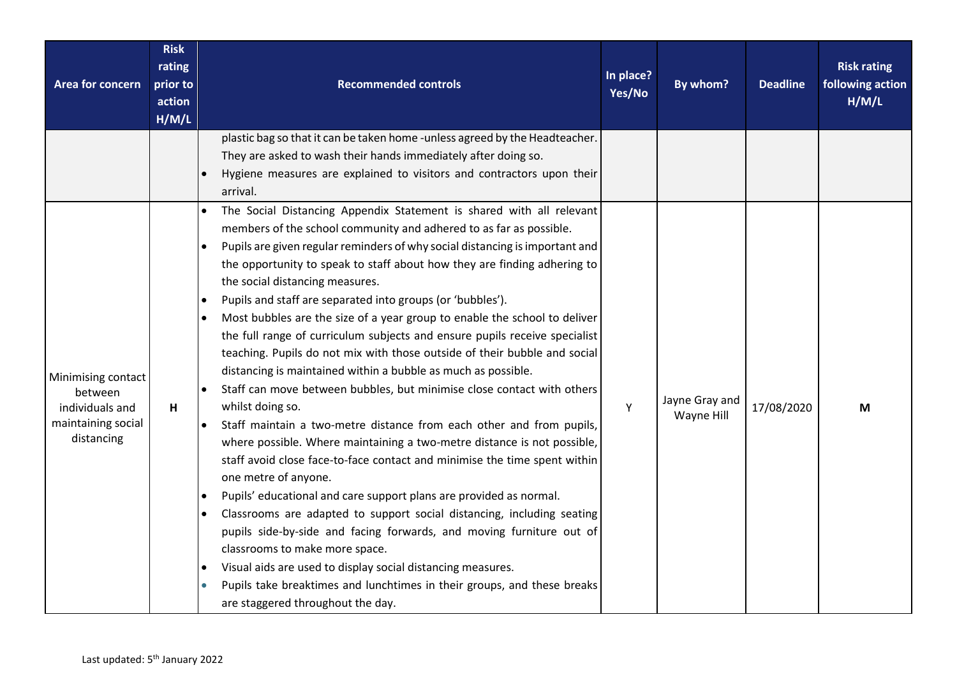| Area for concern                                                                     | <b>Risk</b><br>rating<br>prior to<br>action<br>H/M/L | <b>Recommended controls</b>                                                                                                                                                                                                                                                                                                                                                                                                                                                                                                                                                                                                                                                                                                                                                                                                                                                                                                                                                                                                                                                                                                                                                                                                                                                                                                                                                                                                                                                                                                                            | In place?<br>Yes/No | By whom?                     | <b>Deadline</b> | <b>Risk rating</b><br>following action<br>H/M/L |
|--------------------------------------------------------------------------------------|------------------------------------------------------|--------------------------------------------------------------------------------------------------------------------------------------------------------------------------------------------------------------------------------------------------------------------------------------------------------------------------------------------------------------------------------------------------------------------------------------------------------------------------------------------------------------------------------------------------------------------------------------------------------------------------------------------------------------------------------------------------------------------------------------------------------------------------------------------------------------------------------------------------------------------------------------------------------------------------------------------------------------------------------------------------------------------------------------------------------------------------------------------------------------------------------------------------------------------------------------------------------------------------------------------------------------------------------------------------------------------------------------------------------------------------------------------------------------------------------------------------------------------------------------------------------------------------------------------------------|---------------------|------------------------------|-----------------|-------------------------------------------------|
|                                                                                      |                                                      | plastic bag so that it can be taken home - unless agreed by the Headteacher.<br>They are asked to wash their hands immediately after doing so.<br>Hygiene measures are explained to visitors and contractors upon their<br>arrival.                                                                                                                                                                                                                                                                                                                                                                                                                                                                                                                                                                                                                                                                                                                                                                                                                                                                                                                                                                                                                                                                                                                                                                                                                                                                                                                    |                     |                              |                 |                                                 |
| Minimising contact<br>between<br>individuals and<br>maintaining social<br>distancing | H                                                    | The Social Distancing Appendix Statement is shared with all relevant<br>members of the school community and adhered to as far as possible.<br>Pupils are given regular reminders of why social distancing is important and<br>the opportunity to speak to staff about how they are finding adhering to<br>the social distancing measures.<br>Pupils and staff are separated into groups (or 'bubbles').<br>Most bubbles are the size of a year group to enable the school to deliver<br>the full range of curriculum subjects and ensure pupils receive specialist<br>teaching. Pupils do not mix with those outside of their bubble and social<br>distancing is maintained within a bubble as much as possible.<br>Staff can move between bubbles, but minimise close contact with others<br>whilst doing so.<br>Staff maintain a two-metre distance from each other and from pupils,<br>$\bullet$<br>where possible. Where maintaining a two-metre distance is not possible,<br>staff avoid close face-to-face contact and minimise the time spent within<br>one metre of anyone.<br>Pupils' educational and care support plans are provided as normal.<br>$\bullet$<br>Classrooms are adapted to support social distancing, including seating<br>$\bullet$<br>pupils side-by-side and facing forwards, and moving furniture out of<br>classrooms to make more space.<br>Visual aids are used to display social distancing measures.<br>Pupils take breaktimes and lunchtimes in their groups, and these breaks<br>are staggered throughout the day. | Υ                   | Jayne Gray and<br>Wayne Hill | 17/08/2020      | M                                               |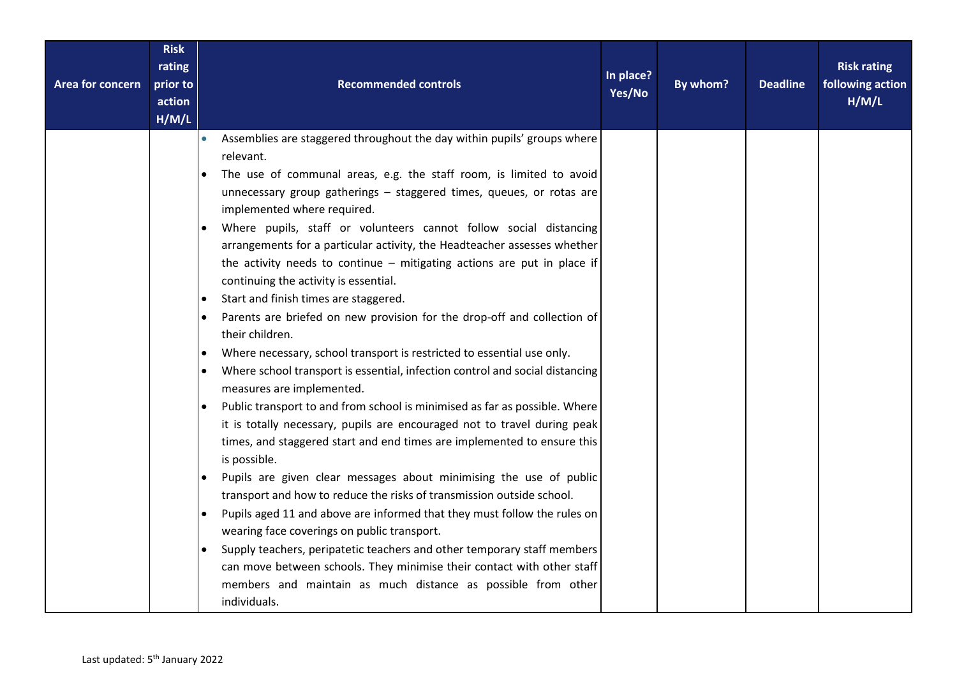| <b>Risk</b><br>rating<br>Area for concern<br>prior to<br>action<br>H/M/L |                                                                                                                                                                                                                                                                                     | <b>Recommended controls</b>                                                                                                                                                                                                                                                                                                                                                                                                                                                                                                                                                                                                                                                                                                                                                                                                                                                                                                                                                                                                                                                                                                                                                                                                                                                                                                                                                    | In place?<br>Yes/No | By whom? | <b>Deadline</b> | <b>Risk rating</b><br>following action<br>H/M/L |
|--------------------------------------------------------------------------|-------------------------------------------------------------------------------------------------------------------------------------------------------------------------------------------------------------------------------------------------------------------------------------|--------------------------------------------------------------------------------------------------------------------------------------------------------------------------------------------------------------------------------------------------------------------------------------------------------------------------------------------------------------------------------------------------------------------------------------------------------------------------------------------------------------------------------------------------------------------------------------------------------------------------------------------------------------------------------------------------------------------------------------------------------------------------------------------------------------------------------------------------------------------------------------------------------------------------------------------------------------------------------------------------------------------------------------------------------------------------------------------------------------------------------------------------------------------------------------------------------------------------------------------------------------------------------------------------------------------------------------------------------------------------------|---------------------|----------|-----------------|-------------------------------------------------|
|                                                                          | $\bullet$<br>relevant.<br>implemented where required.<br>continuing the activity is essential.<br>Start and finish times are staggered.<br>their children.<br>measures are implemented.<br>is possible.<br>wearing face coverings on public transport.<br>$\bullet$<br>individuals. | Assemblies are staggered throughout the day within pupils' groups where<br>The use of communal areas, e.g. the staff room, is limited to avoid<br>unnecessary group gatherings - staggered times, queues, or rotas are<br>Where pupils, staff or volunteers cannot follow social distancing<br>arrangements for a particular activity, the Headteacher assesses whether<br>the activity needs to continue $-$ mitigating actions are put in place if<br>Parents are briefed on new provision for the drop-off and collection of<br>Where necessary, school transport is restricted to essential use only.<br>Where school transport is essential, infection control and social distancing<br>Public transport to and from school is minimised as far as possible. Where<br>it is totally necessary, pupils are encouraged not to travel during peak<br>times, and staggered start and end times are implemented to ensure this<br>Pupils are given clear messages about minimising the use of public<br>transport and how to reduce the risks of transmission outside school.<br>Pupils aged 11 and above are informed that they must follow the rules on<br>Supply teachers, peripatetic teachers and other temporary staff members<br>can move between schools. They minimise their contact with other staff<br>members and maintain as much distance as possible from other |                     |          |                 |                                                 |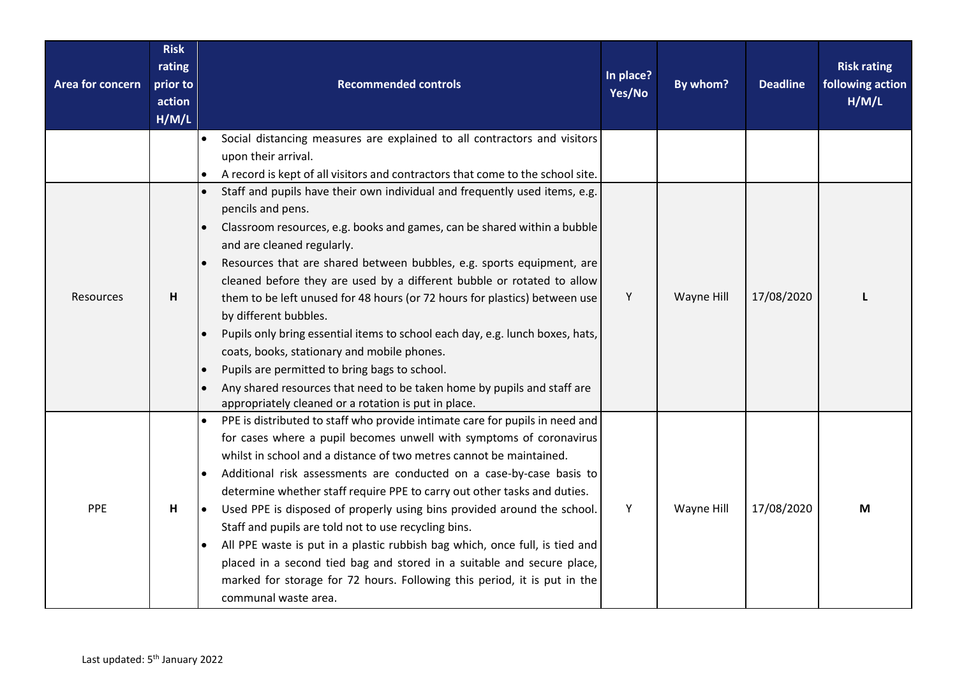| Area for concern | <b>Risk</b><br>rating<br>prior to<br>action<br>H/M/L | <b>Recommended controls</b>                                                                                                                                                                                                                                                                                                                                                                                                                                                                                                                                                                                                                                                                                                                                                                                                                         | In place?<br>Yes/No | By whom?   | <b>Deadline</b> | <b>Risk rating</b><br>following action<br>H/M/L |
|------------------|------------------------------------------------------|-----------------------------------------------------------------------------------------------------------------------------------------------------------------------------------------------------------------------------------------------------------------------------------------------------------------------------------------------------------------------------------------------------------------------------------------------------------------------------------------------------------------------------------------------------------------------------------------------------------------------------------------------------------------------------------------------------------------------------------------------------------------------------------------------------------------------------------------------------|---------------------|------------|-----------------|-------------------------------------------------|
|                  |                                                      | Social distancing measures are explained to all contractors and visitors<br>upon their arrival.                                                                                                                                                                                                                                                                                                                                                                                                                                                                                                                                                                                                                                                                                                                                                     |                     |            |                 |                                                 |
|                  |                                                      | A record is kept of all visitors and contractors that come to the school site.                                                                                                                                                                                                                                                                                                                                                                                                                                                                                                                                                                                                                                                                                                                                                                      |                     |            |                 |                                                 |
| <b>Resources</b> | H                                                    | Staff and pupils have their own individual and frequently used items, e.g.<br>pencils and pens.<br>Classroom resources, e.g. books and games, can be shared within a bubble<br>and are cleaned regularly.<br>Resources that are shared between bubbles, e.g. sports equipment, are<br>cleaned before they are used by a different bubble or rotated to allow<br>them to be left unused for 48 hours (or 72 hours for plastics) between use<br>by different bubbles.<br>Pupils only bring essential items to school each day, e.g. lunch boxes, hats,<br>coats, books, stationary and mobile phones.<br>Pupils are permitted to bring bags to school.<br>Any shared resources that need to be taken home by pupils and staff are                                                                                                                     | Y                   | Wayne Hill | 17/08/2020      |                                                 |
| PPE              | H                                                    | appropriately cleaned or a rotation is put in place.<br>PPE is distributed to staff who provide intimate care for pupils in need and<br>for cases where a pupil becomes unwell with symptoms of coronavirus<br>whilst in school and a distance of two metres cannot be maintained.<br>Additional risk assessments are conducted on a case-by-case basis to<br>determine whether staff require PPE to carry out other tasks and duties.<br>Used PPE is disposed of properly using bins provided around the school.<br>$\bullet$<br>Staff and pupils are told not to use recycling bins.<br>All PPE waste is put in a plastic rubbish bag which, once full, is tied and<br>placed in a second tied bag and stored in a suitable and secure place,<br>marked for storage for 72 hours. Following this period, it is put in the<br>communal waste area. | Y                   | Wayne Hill | 17/08/2020      | M                                               |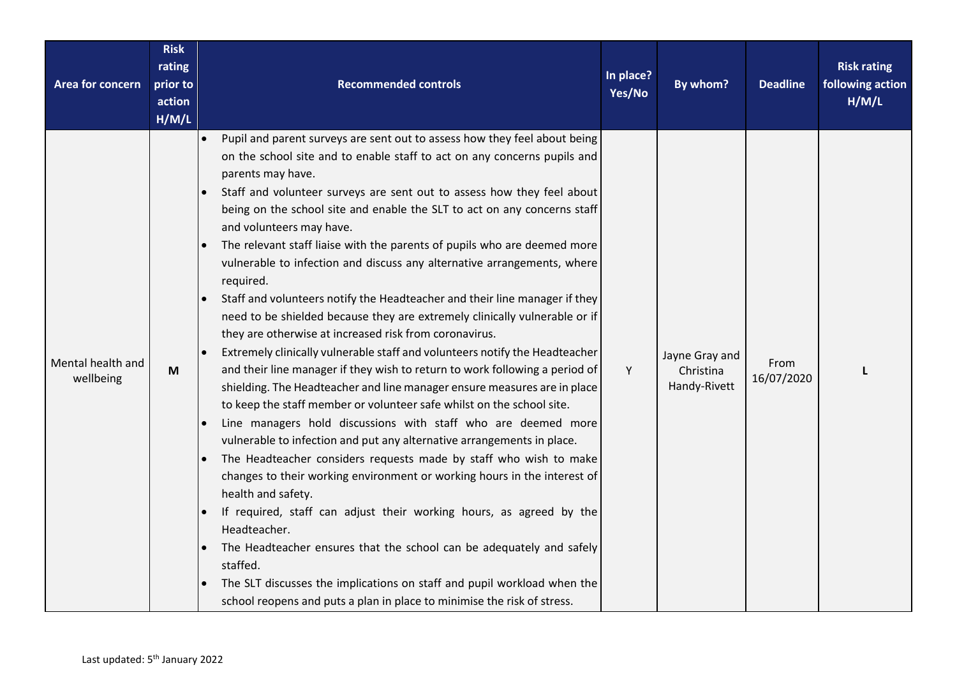| Area for concern               | <b>Risk</b><br>rating<br>prior to<br>action<br>H/M/L | <b>Recommended controls</b>                                                                                                                                                                                                                                                                                                                                                                                                                                                                                                                                                                                                                                                                                                                                                                                                                                                                                                                                                                                                                                                                                                                                                                                                                                                                                                                                                                                                                                                                                                                                                                                                                                                                                                               | In place?<br>Yes/No | By whom?                                    | <b>Deadline</b>    | <b>Risk rating</b><br>following action<br>H/M/L |
|--------------------------------|------------------------------------------------------|-------------------------------------------------------------------------------------------------------------------------------------------------------------------------------------------------------------------------------------------------------------------------------------------------------------------------------------------------------------------------------------------------------------------------------------------------------------------------------------------------------------------------------------------------------------------------------------------------------------------------------------------------------------------------------------------------------------------------------------------------------------------------------------------------------------------------------------------------------------------------------------------------------------------------------------------------------------------------------------------------------------------------------------------------------------------------------------------------------------------------------------------------------------------------------------------------------------------------------------------------------------------------------------------------------------------------------------------------------------------------------------------------------------------------------------------------------------------------------------------------------------------------------------------------------------------------------------------------------------------------------------------------------------------------------------------------------------------------------------------|---------------------|---------------------------------------------|--------------------|-------------------------------------------------|
| Mental health and<br>wellbeing | M                                                    | Pupil and parent surveys are sent out to assess how they feel about being<br>$\bullet$<br>on the school site and to enable staff to act on any concerns pupils and<br>parents may have.<br>Staff and volunteer surveys are sent out to assess how they feel about<br>being on the school site and enable the SLT to act on any concerns staff<br>and volunteers may have.<br>The relevant staff liaise with the parents of pupils who are deemed more<br>vulnerable to infection and discuss any alternative arrangements, where<br>required.<br>Staff and volunteers notify the Headteacher and their line manager if they<br>need to be shielded because they are extremely clinically vulnerable or if<br>they are otherwise at increased risk from coronavirus.<br>Extremely clinically vulnerable staff and volunteers notify the Headteacher<br>and their line manager if they wish to return to work following a period of<br>shielding. The Headteacher and line manager ensure measures are in place<br>to keep the staff member or volunteer safe whilst on the school site.<br>Line managers hold discussions with staff who are deemed more<br>vulnerable to infection and put any alternative arrangements in place.<br>The Headteacher considers requests made by staff who wish to make<br>changes to their working environment or working hours in the interest of<br>health and safety.<br>If required, staff can adjust their working hours, as agreed by the<br>Headteacher.<br>The Headteacher ensures that the school can be adequately and safely<br>staffed.<br>The SLT discusses the implications on staff and pupil workload when the<br>school reopens and puts a plan in place to minimise the risk of stress. | Y                   | Jayne Gray and<br>Christina<br>Handy-Rivett | From<br>16/07/2020 |                                                 |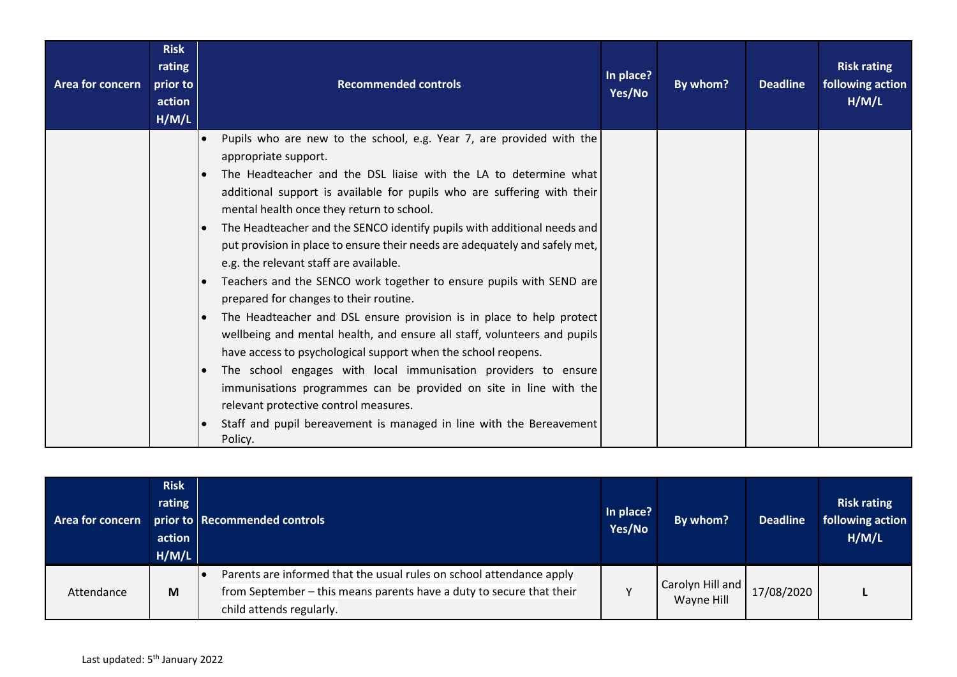| <b>Area for concern</b> | <b>Risk</b><br>rating<br>prior to<br>action<br>H/M/L | <b>Recommended controls</b>                                                                                                                                                                                                                                                                                                                                                                                                                                                                                                                                                                                                                                                                                                                                                                                                                                                                                                                                                                                                                                                                          | In place?<br>Yes/No | By whom? | <b>Deadline</b> | <b>Risk rating</b><br>following action<br>H/M/L |
|-------------------------|------------------------------------------------------|------------------------------------------------------------------------------------------------------------------------------------------------------------------------------------------------------------------------------------------------------------------------------------------------------------------------------------------------------------------------------------------------------------------------------------------------------------------------------------------------------------------------------------------------------------------------------------------------------------------------------------------------------------------------------------------------------------------------------------------------------------------------------------------------------------------------------------------------------------------------------------------------------------------------------------------------------------------------------------------------------------------------------------------------------------------------------------------------------|---------------------|----------|-----------------|-------------------------------------------------|
|                         |                                                      | Pupils who are new to the school, e.g. Year 7, are provided with the<br>appropriate support.<br>The Headteacher and the DSL liaise with the LA to determine what<br>additional support is available for pupils who are suffering with their<br>mental health once they return to school.<br>The Headteacher and the SENCO identify pupils with additional needs and<br>put provision in place to ensure their needs are adequately and safely met,<br>e.g. the relevant staff are available.<br>Teachers and the SENCO work together to ensure pupils with SEND are<br>prepared for changes to their routine.<br>The Headteacher and DSL ensure provision is in place to help protect<br>wellbeing and mental health, and ensure all staff, volunteers and pupils<br>have access to psychological support when the school reopens.<br>The school engages with local immunisation providers to ensure<br>immunisations programmes can be provided on site in line with the<br>relevant protective control measures.<br>Staff and pupil bereavement is managed in line with the Bereavement<br>Policy. |                     |          |                 |                                                 |

| <b>Area for concern</b> | <b>Risk</b><br>rating<br>action<br>H/M/L | prior to Recommended controls                                                                                                                                            | In place?<br>Yes/No | By whom?                       | <b>Deadline</b> | <b>Risk rating</b><br>following action<br>H/M/L |
|-------------------------|------------------------------------------|--------------------------------------------------------------------------------------------------------------------------------------------------------------------------|---------------------|--------------------------------|-----------------|-------------------------------------------------|
| Attendance              | M                                        | Parents are informed that the usual rules on school attendance apply<br>from September - this means parents have a duty to secure that their<br>child attends regularly. |                     | Carolyn Hill and<br>Wayne Hill | 17/08/2020      |                                                 |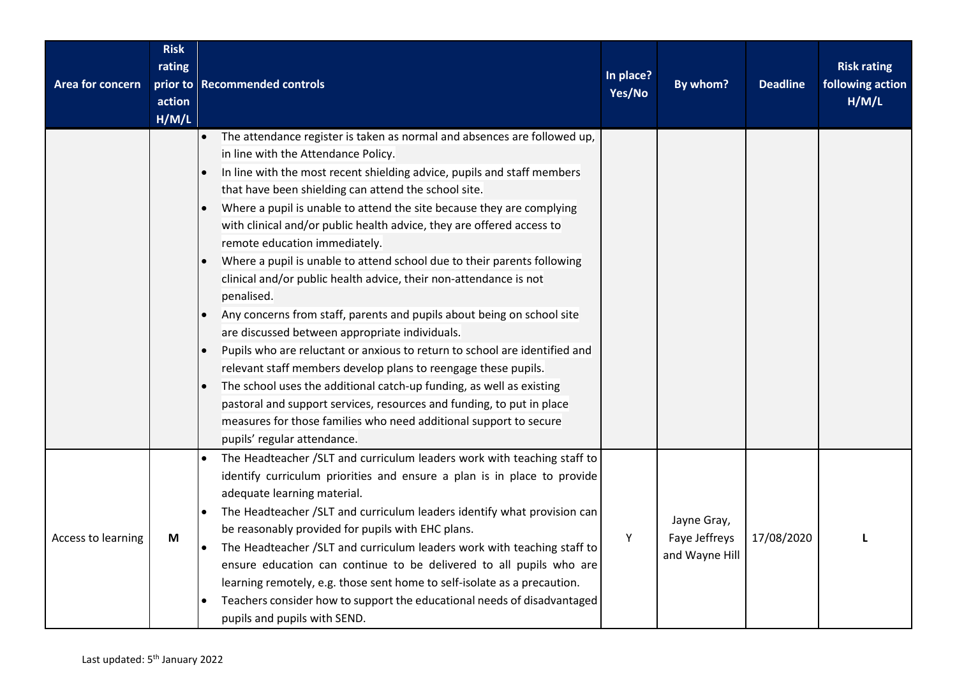| Area for concern   | <b>Risk</b><br>rating<br>action<br>H/M/L | prior to Recommended controls                                                                                                                                                                                                                                                                                                                                                                                                                                                                                                                                                                                                                                                                                                                                                                                                                                                                                                                                                                                                                                                                                                        | In place?<br>Yes/No | By whom?                                       | <b>Deadline</b> | <b>Risk rating</b><br>following action<br>H/M/L |
|--------------------|------------------------------------------|--------------------------------------------------------------------------------------------------------------------------------------------------------------------------------------------------------------------------------------------------------------------------------------------------------------------------------------------------------------------------------------------------------------------------------------------------------------------------------------------------------------------------------------------------------------------------------------------------------------------------------------------------------------------------------------------------------------------------------------------------------------------------------------------------------------------------------------------------------------------------------------------------------------------------------------------------------------------------------------------------------------------------------------------------------------------------------------------------------------------------------------|---------------------|------------------------------------------------|-----------------|-------------------------------------------------|
|                    |                                          | The attendance register is taken as normal and absences are followed up,<br>in line with the Attendance Policy.<br>In line with the most recent shielding advice, pupils and staff members<br>that have been shielding can attend the school site.<br>Where a pupil is unable to attend the site because they are complying<br>with clinical and/or public health advice, they are offered access to<br>remote education immediately.<br>Where a pupil is unable to attend school due to their parents following<br>clinical and/or public health advice, their non-attendance is not<br>penalised.<br>Any concerns from staff, parents and pupils about being on school site<br>are discussed between appropriate individuals.<br>Pupils who are reluctant or anxious to return to school are identified and<br>relevant staff members develop plans to reengage these pupils.<br>The school uses the additional catch-up funding, as well as existing<br>pastoral and support services, resources and funding, to put in place<br>measures for those families who need additional support to secure<br>pupils' regular attendance. |                     |                                                |                 |                                                 |
| Access to learning | M                                        | The Headteacher /SLT and curriculum leaders work with teaching staff to<br>identify curriculum priorities and ensure a plan is in place to provide<br>adequate learning material.<br>The Headteacher / SLT and curriculum leaders identify what provision can<br>be reasonably provided for pupils with EHC plans.<br>The Headteacher /SLT and curriculum leaders work with teaching staff to<br>$\bullet$<br>ensure education can continue to be delivered to all pupils who are<br>learning remotely, e.g. those sent home to self-isolate as a precaution.<br>Teachers consider how to support the educational needs of disadvantaged<br>pupils and pupils with SEND.                                                                                                                                                                                                                                                                                                                                                                                                                                                             | Υ                   | Jayne Gray,<br>Faye Jeffreys<br>and Wayne Hill | 17/08/2020      | L                                               |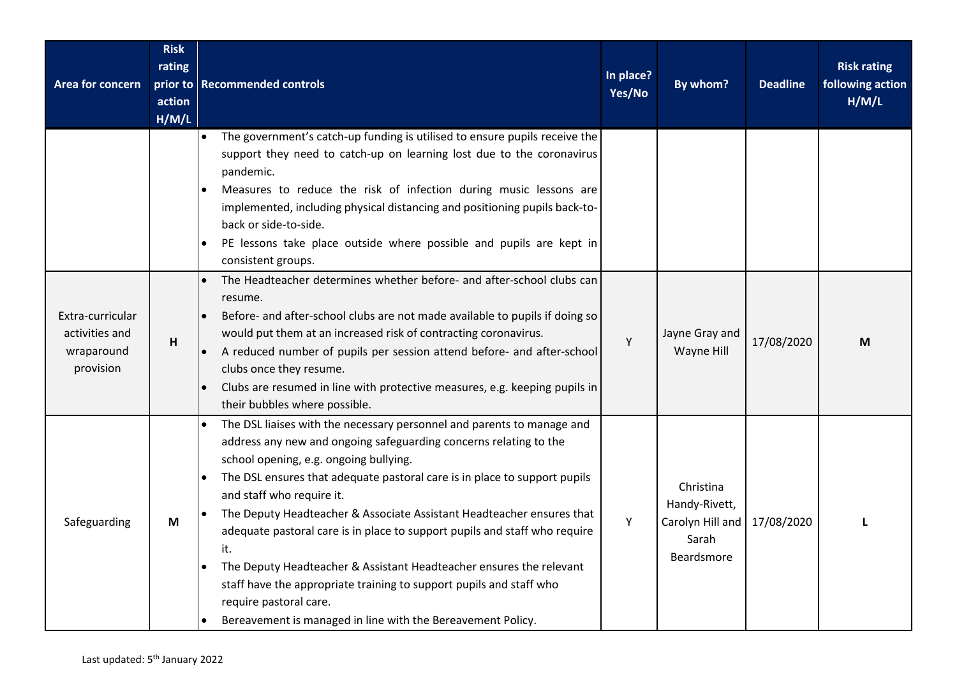| Area for concern                                              | <b>Risk</b><br>rating<br>action<br>H/M/L | prior to Recommended controls                                                                                                                                                                                                                                                                                                                                                                                                                                                                                                                                                                                                                                                                        | In place?<br>Yes/No | By whom?                                                              | <b>Deadline</b> | <b>Risk rating</b><br>following action<br>H/M/L |
|---------------------------------------------------------------|------------------------------------------|------------------------------------------------------------------------------------------------------------------------------------------------------------------------------------------------------------------------------------------------------------------------------------------------------------------------------------------------------------------------------------------------------------------------------------------------------------------------------------------------------------------------------------------------------------------------------------------------------------------------------------------------------------------------------------------------------|---------------------|-----------------------------------------------------------------------|-----------------|-------------------------------------------------|
|                                                               |                                          | The government's catch-up funding is utilised to ensure pupils receive the<br>support they need to catch-up on learning lost due to the coronavirus<br>pandemic.<br>Measures to reduce the risk of infection during music lessons are<br>implemented, including physical distancing and positioning pupils back-to-<br>back or side-to-side.<br>PE lessons take place outside where possible and pupils are kept in<br>consistent groups.                                                                                                                                                                                                                                                            |                     |                                                                       |                 |                                                 |
| Extra-curricular<br>activities and<br>wraparound<br>provision | H                                        | The Headteacher determines whether before- and after-school clubs can<br>resume.<br>Before- and after-school clubs are not made available to pupils if doing so<br>would put them at an increased risk of contracting coronavirus.<br>A reduced number of pupils per session attend before- and after-school<br>$\bullet$<br>clubs once they resume.<br>Clubs are resumed in line with protective measures, e.g. keeping pupils in<br>their bubbles where possible.                                                                                                                                                                                                                                  | Υ                   | Jayne Gray and<br>Wayne Hill                                          | 17/08/2020      | M                                               |
| Safeguarding                                                  | M                                        | The DSL liaises with the necessary personnel and parents to manage and<br>address any new and ongoing safeguarding concerns relating to the<br>school opening, e.g. ongoing bullying.<br>The DSL ensures that adequate pastoral care is in place to support pupils<br>and staff who require it.<br>The Deputy Headteacher & Associate Assistant Headteacher ensures that<br>adequate pastoral care is in place to support pupils and staff who require<br>it.<br>The Deputy Headteacher & Assistant Headteacher ensures the relevant<br>staff have the appropriate training to support pupils and staff who<br>require pastoral care.<br>Bereavement is managed in line with the Bereavement Policy. | Υ                   | Christina<br>Handy-Rivett,<br>Carolyn Hill and<br>Sarah<br>Beardsmore | 17/08/2020      |                                                 |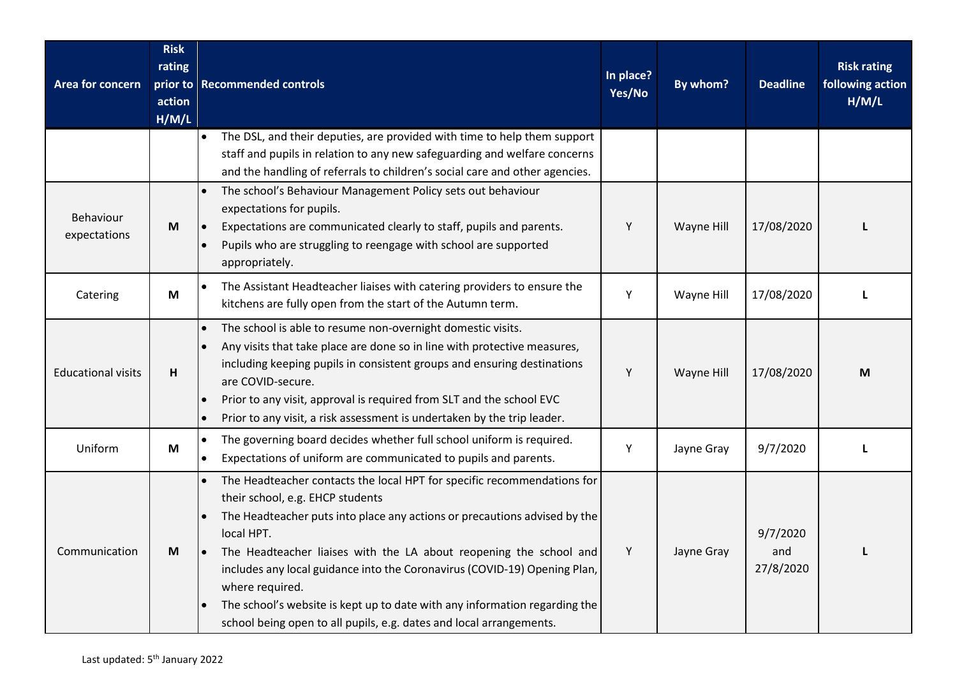| Area for concern          | <b>Risk</b><br>rating<br>prior to<br>action<br>H/M/L | <b>Recommended controls</b>                                                                                                                                                                                                                                                                                                                                                                                                                                                                                                                    | In place?<br>Yes/No | By whom?   | <b>Deadline</b>              | <b>Risk rating</b><br>following action<br>H/M/L |
|---------------------------|------------------------------------------------------|------------------------------------------------------------------------------------------------------------------------------------------------------------------------------------------------------------------------------------------------------------------------------------------------------------------------------------------------------------------------------------------------------------------------------------------------------------------------------------------------------------------------------------------------|---------------------|------------|------------------------------|-------------------------------------------------|
|                           |                                                      | The DSL, and their deputies, are provided with time to help them support<br>$\bullet$<br>staff and pupils in relation to any new safeguarding and welfare concerns<br>and the handling of referrals to children's social care and other agencies.                                                                                                                                                                                                                                                                                              |                     |            |                              |                                                 |
| Behaviour<br>expectations | M                                                    | The school's Behaviour Management Policy sets out behaviour<br>expectations for pupils.<br>Expectations are communicated clearly to staff, pupils and parents.<br>Pupils who are struggling to reengage with school are supported<br>appropriately.                                                                                                                                                                                                                                                                                            | Υ                   | Wayne Hill | 17/08/2020                   |                                                 |
| Catering                  | M                                                    | The Assistant Headteacher liaises with catering providers to ensure the<br>kitchens are fully open from the start of the Autumn term.                                                                                                                                                                                                                                                                                                                                                                                                          | Υ                   | Wayne Hill | 17/08/2020                   |                                                 |
| <b>Educational visits</b> | H                                                    | The school is able to resume non-overnight domestic visits.<br>Any visits that take place are done so in line with protective measures,<br>including keeping pupils in consistent groups and ensuring destinations<br>are COVID-secure.<br>Prior to any visit, approval is required from SLT and the school EVC<br>Prior to any visit, a risk assessment is undertaken by the trip leader.                                                                                                                                                     | Υ                   | Wayne Hill | 17/08/2020                   | M                                               |
| Uniform                   | M                                                    | The governing board decides whether full school uniform is required.<br>Expectations of uniform are communicated to pupils and parents.                                                                                                                                                                                                                                                                                                                                                                                                        | Υ                   | Jayne Gray | 9/7/2020                     |                                                 |
| Communication             | M                                                    | The Headteacher contacts the local HPT for specific recommendations for<br>their school, e.g. EHCP students<br>The Headteacher puts into place any actions or precautions advised by the<br>local HPT.<br>The Headteacher liaises with the LA about reopening the school and<br>$\bullet$<br>includes any local guidance into the Coronavirus (COVID-19) Opening Plan,<br>where required.<br>The school's website is kept up to date with any information regarding the<br>school being open to all pupils, e.g. dates and local arrangements. | Υ                   | Jayne Gray | 9/7/2020<br>and<br>27/8/2020 |                                                 |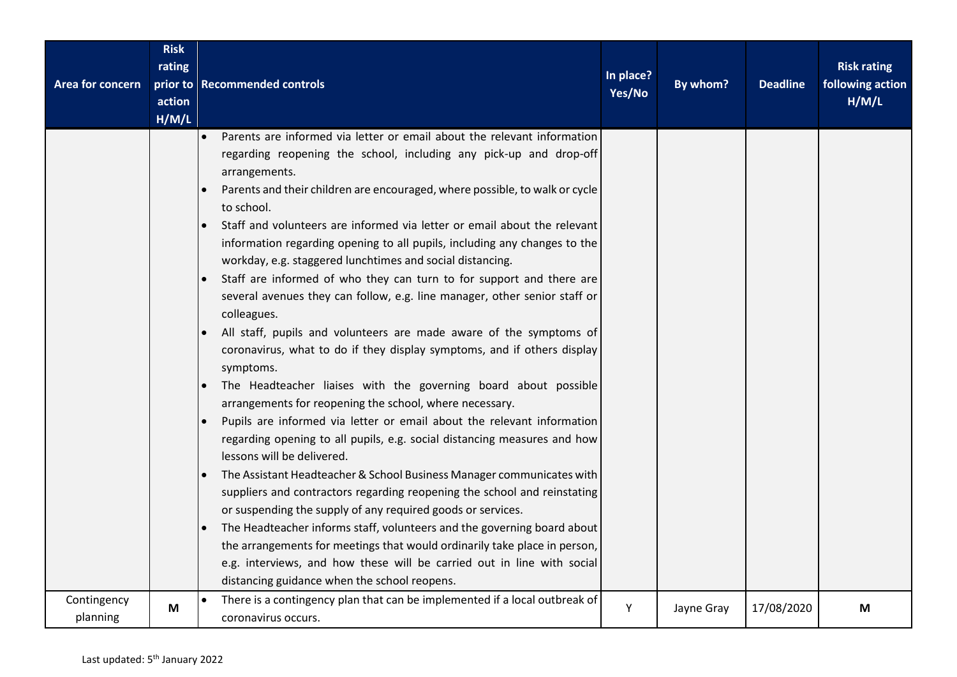| Area for concern        | <b>Risk</b><br>rating<br>action<br>H/M/L | prior to Recommended controls                                                                                                                                                                                                                                                                                                                                                                                                                                                                                                                                                                                                                                                                                                                                                                                                                                                                                                                                                                                                                                                                                                                                                                                                                                                                                                                                                                                                                                                                                                                                                                                                                            | In place?<br>Yes/No | By whom?   | <b>Deadline</b> | <b>Risk rating</b><br>following action<br>H/M/L |
|-------------------------|------------------------------------------|----------------------------------------------------------------------------------------------------------------------------------------------------------------------------------------------------------------------------------------------------------------------------------------------------------------------------------------------------------------------------------------------------------------------------------------------------------------------------------------------------------------------------------------------------------------------------------------------------------------------------------------------------------------------------------------------------------------------------------------------------------------------------------------------------------------------------------------------------------------------------------------------------------------------------------------------------------------------------------------------------------------------------------------------------------------------------------------------------------------------------------------------------------------------------------------------------------------------------------------------------------------------------------------------------------------------------------------------------------------------------------------------------------------------------------------------------------------------------------------------------------------------------------------------------------------------------------------------------------------------------------------------------------|---------------------|------------|-----------------|-------------------------------------------------|
|                         |                                          | Parents are informed via letter or email about the relevant information<br>$\bullet$<br>regarding reopening the school, including any pick-up and drop-off<br>arrangements.<br>Parents and their children are encouraged, where possible, to walk or cycle<br>to school.<br>Staff and volunteers are informed via letter or email about the relevant<br>information regarding opening to all pupils, including any changes to the<br>workday, e.g. staggered lunchtimes and social distancing.<br>Staff are informed of who they can turn to for support and there are<br>several avenues they can follow, e.g. line manager, other senior staff or<br>colleagues.<br>All staff, pupils and volunteers are made aware of the symptoms of<br>coronavirus, what to do if they display symptoms, and if others display<br>symptoms.<br>The Headteacher liaises with the governing board about possible<br>arrangements for reopening the school, where necessary.<br>Pupils are informed via letter or email about the relevant information<br>regarding opening to all pupils, e.g. social distancing measures and how<br>lessons will be delivered.<br>The Assistant Headteacher & School Business Manager communicates with<br>suppliers and contractors regarding reopening the school and reinstating<br>or suspending the supply of any required goods or services.<br>The Headteacher informs staff, volunteers and the governing board about<br>the arrangements for meetings that would ordinarily take place in person,<br>e.g. interviews, and how these will be carried out in line with social<br>distancing guidance when the school reopens. |                     |            |                 |                                                 |
| Contingency<br>planning | M                                        | There is a contingency plan that can be implemented if a local outbreak of<br>coronavirus occurs.                                                                                                                                                                                                                                                                                                                                                                                                                                                                                                                                                                                                                                                                                                                                                                                                                                                                                                                                                                                                                                                                                                                                                                                                                                                                                                                                                                                                                                                                                                                                                        | Υ                   | Jayne Gray | 17/08/2020      | M                                               |